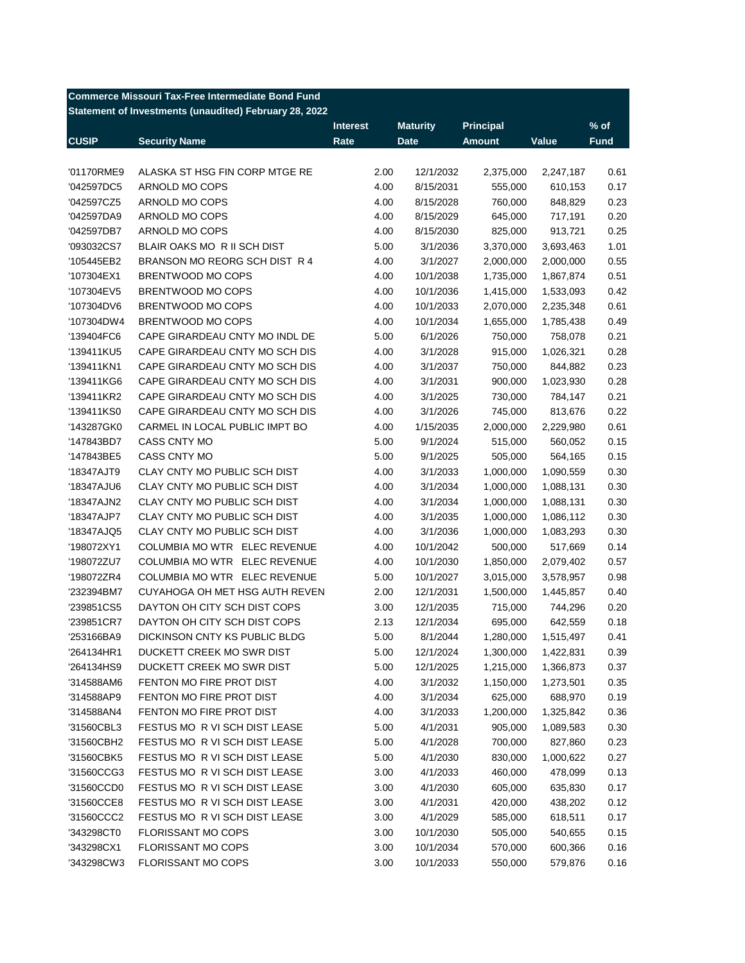| <b>Commerce Missouri Tax-Free Intermediate Bond Fund</b> |                                                        |                 |                 |                  |           |             |  |
|----------------------------------------------------------|--------------------------------------------------------|-----------------|-----------------|------------------|-----------|-------------|--|
|                                                          | Statement of Investments (unaudited) February 28, 2022 |                 |                 |                  |           |             |  |
|                                                          |                                                        | <b>Interest</b> | <b>Maturity</b> | <b>Principal</b> |           | $%$ of      |  |
| <b>CUSIP</b>                                             | <b>Security Name</b>                                   | Rate            | <b>Date</b>     | <b>Amount</b>    | Value     | <b>Fund</b> |  |
|                                                          |                                                        |                 |                 |                  |           |             |  |
| '01170RME9                                               | ALASKA ST HSG FIN CORP MTGE RE                         | 2.00            | 12/1/2032       | 2,375,000        | 2,247,187 | 0.61        |  |
| '042597DC5                                               | ARNOLD MO COPS                                         | 4.00            | 8/15/2031       | 555,000          | 610,153   | 0.17        |  |
| '042597CZ5                                               | ARNOLD MO COPS                                         | 4.00            | 8/15/2028       | 760,000          | 848,829   | 0.23        |  |
| '042597DA9                                               | ARNOLD MO COPS                                         | 4.00            | 8/15/2029       | 645,000          | 717,191   | 0.20        |  |
| '042597DB7                                               | ARNOLD MO COPS                                         | 4.00            | 8/15/2030       | 825,000          | 913,721   | 0.25        |  |
| '093032CS7                                               | BLAIR OAKS MO R II SCH DIST                            | 5.00            | 3/1/2036        | 3,370,000        | 3,693,463 | 1.01        |  |
| '105445EB2                                               | BRANSON MO REORG SCH DIST R 4                          | 4.00            | 3/1/2027        | 2,000,000        | 2,000,000 | 0.55        |  |
| '107304EX1                                               | BRENTWOOD MO COPS                                      | 4.00            | 10/1/2038       | 1,735,000        | 1,867,874 | 0.51        |  |
| '107304EV5                                               | BRENTWOOD MO COPS                                      | 4.00            | 10/1/2036       | 1,415,000        | 1,533,093 | 0.42        |  |
| '107304DV6                                               | BRENTWOOD MO COPS                                      | 4.00            | 10/1/2033       | 2,070,000        | 2,235,348 | 0.61        |  |
| '107304DW4                                               | BRENTWOOD MO COPS                                      | 4.00            | 10/1/2034       | 1,655,000        | 1,785,438 | 0.49        |  |
| '139404FC6                                               | CAPE GIRARDEAU CNTY MO INDL DE                         | 5.00            | 6/1/2026        | 750,000          | 758,078   | 0.21        |  |
| '139411KU5                                               | CAPE GIRARDEAU CNTY MO SCH DIS                         | 4.00            | 3/1/2028        | 915,000          | 1,026,321 | 0.28        |  |
| '139411KN1                                               | CAPE GIRARDEAU CNTY MO SCH DIS                         | 4.00            | 3/1/2037        | 750,000          | 844,882   | 0.23        |  |
| '139411KG6                                               | CAPE GIRARDEAU CNTY MO SCH DIS                         | 4.00            | 3/1/2031        | 900,000          | 1,023,930 | 0.28        |  |
| '139411KR2                                               | CAPE GIRARDEAU CNTY MO SCH DIS                         | 4.00            | 3/1/2025        | 730,000          | 784,147   | 0.21        |  |
| '139411KS0                                               | CAPE GIRARDEAU CNTY MO SCH DIS                         | 4.00            | 3/1/2026        | 745,000          | 813,676   | 0.22        |  |
| '143287GK0                                               | CARMEL IN LOCAL PUBLIC IMPT BO                         | 4.00            | 1/15/2035       | 2,000,000        | 2,229,980 | 0.61        |  |
| '147843BD7                                               | CASS CNTY MO                                           | 5.00            | 9/1/2024        | 515,000          | 560,052   | 0.15        |  |
| '147843BE5                                               | CASS CNTY MO                                           | 5.00            | 9/1/2025        | 505,000          | 564,165   | 0.15        |  |
| '18347AJT9                                               | CLAY CNTY MO PUBLIC SCH DIST                           | 4.00            | 3/1/2033        | 1,000,000        | 1,090,559 | 0.30        |  |
| '18347AJU6                                               | CLAY CNTY MO PUBLIC SCH DIST                           | 4.00            | 3/1/2034        | 1,000,000        | 1,088,131 | 0.30        |  |
| '18347AJN2                                               | CLAY CNTY MO PUBLIC SCH DIST                           | 4.00            | 3/1/2034        | 1,000,000        | 1,088,131 | 0.30        |  |
| '18347AJP7                                               | CLAY CNTY MO PUBLIC SCH DIST                           | 4.00            | 3/1/2035        | 1,000,000        | 1,086,112 | 0.30        |  |
| '18347AJQ5                                               | CLAY CNTY MO PUBLIC SCH DIST                           | 4.00            | 3/1/2036        | 1,000,000        | 1,083,293 | 0.30        |  |
| '198072XY1                                               | COLUMBIA MO WTR ELEC REVENUE                           | 4.00            | 10/1/2042       | 500,000          | 517,669   | 0.14        |  |
| '198072ZU7                                               | COLUMBIA MO WTR ELEC REVENUE                           | 4.00            | 10/1/2030       | 1,850,000        | 2,079,402 | 0.57        |  |
| '198072ZR4                                               | COLUMBIA MO WTR ELEC REVENUE                           | 5.00            | 10/1/2027       | 3,015,000        | 3,578,957 | 0.98        |  |
| '232394BM7                                               | CUYAHOGA OH MET HSG AUTH REVEN                         | 2.00            | 12/1/2031       | 1,500,000        | 1,445,857 | 0.40        |  |
| '239851CS5                                               | DAYTON OH CITY SCH DIST COPS                           | 3.00            | 12/1/2035       | 715,000          | 744,296   | 0.20        |  |
| '239851CR7                                               | DAYTON OH CITY SCH DIST COPS                           | 2.13            | 12/1/2034       | 695,000          | 642,559   | 0.18        |  |
| '253166BA9                                               | DICKINSON CNTY KS PUBLIC BLDG                          | 5.00            | 8/1/2044        | 1,280,000        | 1,515,497 | 0.41        |  |
| '264134HR1                                               | DUCKETT CREEK MO SWR DIST                              | 5.00            | 12/1/2024       | 1,300,000        | 1,422,831 | 0.39        |  |
| '264134HS9                                               | DUCKETT CREEK MO SWR DIST                              | 5.00            | 12/1/2025       | 1,215,000        | 1,366,873 | 0.37        |  |
| '314588AM6                                               | FENTON MO FIRE PROT DIST                               | 4.00            | 3/1/2032        | 1,150,000        | 1,273,501 | 0.35        |  |
| '314588AP9                                               | FENTON MO FIRE PROT DIST                               | 4.00            | 3/1/2034        | 625,000          | 688,970   | 0.19        |  |
| '314588AN4                                               | FENTON MO FIRE PROT DIST                               | 4.00            | 3/1/2033        | 1,200,000        | 1,325,842 | 0.36        |  |
| '31560CBL3                                               | FESTUS MO R VI SCH DIST LEASE                          | 5.00            | 4/1/2031        | 905,000          | 1,089,583 | 0.30        |  |
| '31560CBH2                                               | FESTUS MO R VI SCH DIST LEASE                          | 5.00            | 4/1/2028        | 700,000          | 827,860   | 0.23        |  |
| '31560CBK5                                               | FESTUS MO R VI SCH DIST LEASE                          | 5.00            | 4/1/2030        | 830,000          | 1,000,622 | 0.27        |  |
| '31560CCG3                                               | FESTUS MO R VI SCH DIST LEASE                          | 3.00            | 4/1/2033        | 460,000          | 478,099   | 0.13        |  |
| '31560CCD0                                               | FESTUS MO R VI SCH DIST LEASE                          | 3.00            | 4/1/2030        | 605,000          | 635,830   | 0.17        |  |
| '31560CCE8                                               | FESTUS MO R VI SCH DIST LEASE                          | 3.00            | 4/1/2031        | 420,000          | 438,202   | 0.12        |  |
| '31560CCC2                                               | FESTUS MO R VI SCH DIST LEASE                          | 3.00            | 4/1/2029        | 585,000          | 618,511   | 0.17        |  |
| '343298CT0                                               | FLORISSANT MO COPS                                     | 3.00            | 10/1/2030       | 505,000          | 540,655   | 0.15        |  |
| '343298CX1                                               | FLORISSANT MO COPS                                     | 3.00            | 10/1/2034       | 570,000          | 600,366   | 0.16        |  |
| '343298CW3                                               | FLORISSANT MO COPS                                     | 3.00            | 10/1/2033       | 550,000          | 579,876   | 0.16        |  |
|                                                          |                                                        |                 |                 |                  |           |             |  |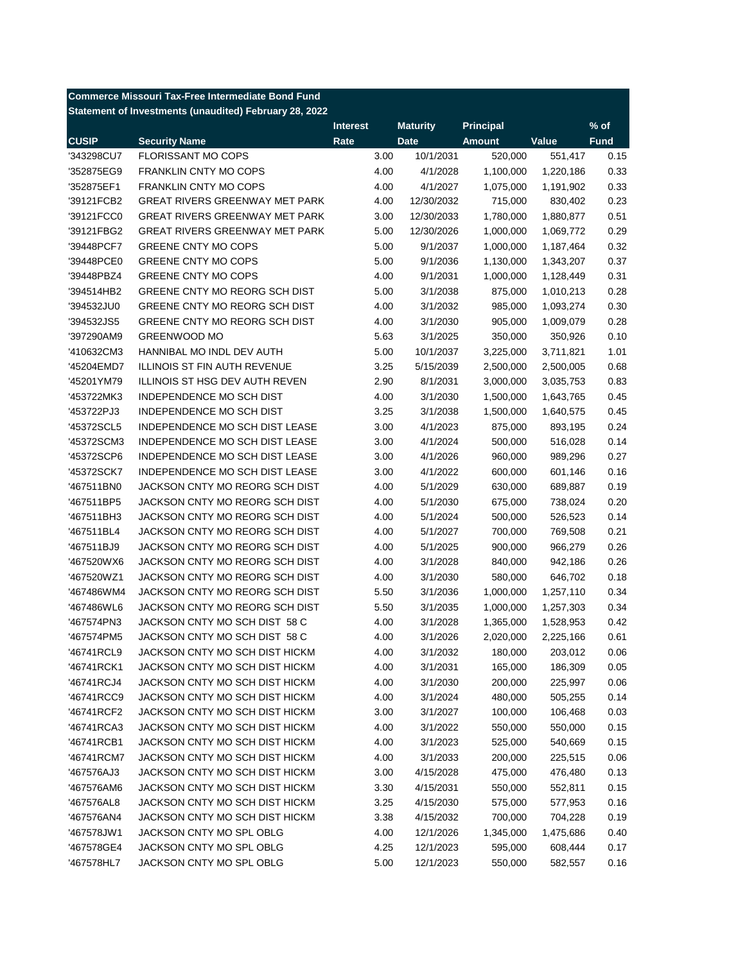| <b>Commerce Missouri Tax-Free Intermediate Bond Fund</b> |  |  |
|----------------------------------------------------------|--|--|
| Statement of Investments (unaudited) February 28, 2022   |  |  |

|              |                                       | <b>Interest</b> | <b>Maturity</b> | <b>Principal</b> |           | $%$ of      |
|--------------|---------------------------------------|-----------------|-----------------|------------------|-----------|-------------|
| <b>CUSIP</b> | <b>Security Name</b>                  | Rate            | <b>Date</b>     | <b>Amount</b>    | Value     | <b>Fund</b> |
| '343298CU7   | <b>FLORISSANT MO COPS</b>             | 3.00            | 10/1/2031       | 520,000          | 551,417   | 0.15        |
| '352875EG9   | <b>FRANKLIN CNTY MO COPS</b>          | 4.00            | 4/1/2028        | 1,100,000        | 1,220,186 | 0.33        |
| '352875EF1   | FRANKLIN CNTY MO COPS                 | 4.00            | 4/1/2027        | 1,075,000        | 1,191,902 | 0.33        |
| '39121FCB2   | <b>GREAT RIVERS GREENWAY MET PARK</b> | 4.00            | 12/30/2032      | 715,000          | 830,402   | 0.23        |
| '39121FCC0   | <b>GREAT RIVERS GREENWAY MET PARK</b> | 3.00            | 12/30/2033      | 1,780,000        | 1,880,877 | 0.51        |
| '39121FBG2   | <b>GREAT RIVERS GREENWAY MET PARK</b> | 5.00            | 12/30/2026      | 1,000,000        | 1,069,772 | 0.29        |
| '39448PCF7   | <b>GREENE CNTY MO COPS</b>            | 5.00            | 9/1/2037        | 1,000,000        | 1,187,464 | 0.32        |
| '39448PCE0   | <b>GREENE CNTY MO COPS</b>            | 5.00            | 9/1/2036        | 1,130,000        | 1,343,207 | 0.37        |
| '39448PBZ4   | <b>GREENE CNTY MO COPS</b>            | 4.00            | 9/1/2031        | 1,000,000        | 1,128,449 | 0.31        |
| '394514HB2   | GREENE CNTY MO REORG SCH DIST         | 5.00            | 3/1/2038        | 875,000          | 1,010,213 | 0.28        |
| '394532JU0   | GREENE CNTY MO REORG SCH DIST         | 4.00            | 3/1/2032        | 985,000          | 1,093,274 | 0.30        |
| '394532JS5   | GREENE CNTY MO REORG SCH DIST         | 4.00            | 3/1/2030        | 905,000          | 1,009,079 | 0.28        |
| '397290AM9   | <b>GREENWOOD MO</b>                   | 5.63            | 3/1/2025        | 350,000          | 350,926   | 0.10        |
| '410632CM3   | HANNIBAL MO INDL DEV AUTH             | 5.00            | 10/1/2037       | 3,225,000        | 3,711,821 | 1.01        |
| '45204EMD7   | <b>ILLINOIS ST FIN AUTH REVENUE</b>   | 3.25            | 5/15/2039       | 2,500,000        | 2,500,005 | 0.68        |
| '45201YM79   | ILLINOIS ST HSG DEV AUTH REVEN        | 2.90            | 8/1/2031        | 3,000,000        | 3,035,753 | 0.83        |
| '453722MK3   | INDEPENDENCE MO SCH DIST              | 4.00            | 3/1/2030        | 1,500,000        | 1,643,765 | 0.45        |
| '453722PJ3   | INDEPENDENCE MO SCH DIST              | 3.25            | 3/1/2038        | 1,500,000        | 1,640,575 | 0.45        |
| '45372SCL5   | INDEPENDENCE MO SCH DIST LEASE        | 3.00            | 4/1/2023        | 875,000          | 893,195   | 0.24        |
| '45372SCM3   | <b>INDEPENDENCE MO SCH DIST LEASE</b> | 3.00            | 4/1/2024        | 500,000          | 516,028   | 0.14        |
| '45372SCP6   | <b>INDEPENDENCE MO SCH DIST LEASE</b> | 3.00            | 4/1/2026        | 960,000          | 989,296   | 0.27        |
| '45372SCK7   | INDEPENDENCE MO SCH DIST LEASE        | 3.00            | 4/1/2022        | 600,000          | 601,146   | 0.16        |
| '467511BN0   | JACKSON CNTY MO REORG SCH DIST        | 4.00            | 5/1/2029        | 630,000          | 689,887   | 0.19        |
| '467511BP5   | JACKSON CNTY MO REORG SCH DIST        | 4.00            | 5/1/2030        | 675,000          | 738,024   | 0.20        |
| '467511BH3   | JACKSON CNTY MO REORG SCH DIST        | 4.00            | 5/1/2024        | 500,000          | 526,523   | 0.14        |
| '467511BL4   | JACKSON CNTY MO REORG SCH DIST        | 4.00            | 5/1/2027        | 700,000          | 769,508   | 0.21        |
| '467511BJ9   | JACKSON CNTY MO REORG SCH DIST        | 4.00            | 5/1/2025        | 900,000          | 966,279   | 0.26        |
| '467520WX6   | JACKSON CNTY MO REORG SCH DIST        | 4.00            | 3/1/2028        | 840,000          | 942,186   | 0.26        |
| '467520WZ1   | JACKSON CNTY MO REORG SCH DIST        | 4.00            | 3/1/2030        | 580,000          | 646,702   | 0.18        |
| '467486WM4   | JACKSON CNTY MO REORG SCH DIST        | 5.50            | 3/1/2036        | 1,000,000        | 1,257,110 | 0.34        |
| '467486WL6   | JACKSON CNTY MO REORG SCH DIST        | 5.50            | 3/1/2035        | 1,000,000        | 1,257,303 | 0.34        |
| '467574PN3   | JACKSON CNTY MO SCH DIST 58 C         | 4.00            | 3/1/2028        | 1,365,000        | 1,528,953 | 0.42        |
| '467574PM5   | JACKSON CNTY MO SCH DIST 58 C         | 4.00            | 3/1/2026        | 2,020,000        | 2,225,166 | 0.61        |
| '46741RCL9   | JACKSON CNTY MO SCH DIST HICKM        | 4.00            | 3/1/2032        | 180,000          | 203,012   | 0.06        |
| '46741RCK1   | JACKSON CNTY MO SCH DIST HICKM        | 4.00            | 3/1/2031        | 165,000          | 186,309   | 0.05        |
| '46741RCJ4   | JACKSON CNTY MO SCH DIST HICKM        | 4.00            | 3/1/2030        | 200,000          | 225,997   | 0.06        |
| '46741RCC9   | JACKSON CNTY MO SCH DIST HICKM        | 4.00            | 3/1/2024        | 480,000          | 505,255   | 0.14        |
|              | JACKSON CNTY MO SCH DIST HICKM        |                 | 3/1/2027        |                  |           |             |
| '46741RCF2   | JACKSON CNTY MO SCH DIST HICKM        | 3.00            |                 | 100,000          | 106,468   | 0.03        |
| '46741RCA3   | JACKSON CNTY MO SCH DIST HICKM        | 4.00            | 3/1/2022        | 550,000          | 550,000   | 0.15        |
| '46741RCB1   |                                       | 4.00            | 3/1/2023        | 525,000          | 540,669   | 0.15        |
| '46741RCM7   | JACKSON CNTY MO SCH DIST HICKM        | 4.00            | 3/1/2033        | 200,000          | 225,515   | 0.06        |
| '467576AJ3   | JACKSON CNTY MO SCH DIST HICKM        | 3.00            | 4/15/2028       | 475,000          | 476,480   | 0.13        |
| '467576AM6   | JACKSON CNTY MO SCH DIST HICKM        | 3.30            | 4/15/2031       | 550,000          | 552,811   | 0.15        |
| '467576AL8   | JACKSON CNTY MO SCH DIST HICKM        | 3.25            | 4/15/2030       | 575,000          | 577,953   | 0.16        |
| '467576AN4   | JACKSON CNTY MO SCH DIST HICKM        | 3.38            | 4/15/2032       | 700,000          | 704,228   | 0.19        |
| '467578JW1   | JACKSON CNTY MO SPL OBLG              | 4.00            | 12/1/2026       | 1,345,000        | 1,475,686 | 0.40        |
| '467578GE4   | JACKSON CNTY MO SPL OBLG              | 4.25            | 12/1/2023       | 595,000          | 608,444   | 0.17        |
| '467578HL7   | JACKSON CNTY MO SPL OBLG              | 5.00            | 12/1/2023       | 550,000          | 582,557   | 0.16        |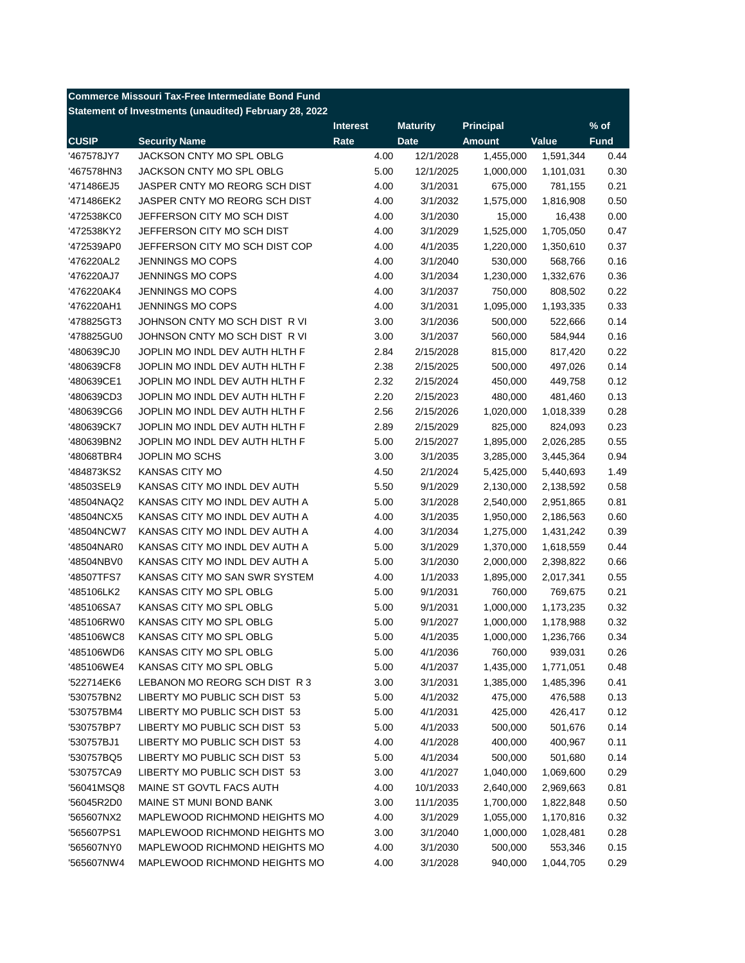| <b>Commerce Missouri Tax-Free Intermediate Bond Fund</b> |                                                        |                 |                 |                  |                      |             |  |
|----------------------------------------------------------|--------------------------------------------------------|-----------------|-----------------|------------------|----------------------|-------------|--|
|                                                          | Statement of Investments (unaudited) February 28, 2022 |                 |                 |                  |                      |             |  |
|                                                          |                                                        | <b>Interest</b> | <b>Maturity</b> | <b>Principal</b> |                      | $%$ of      |  |
| <b>CUSIP</b>                                             | <b>Security Name</b>                                   | Rate            | <b>Date</b>     | <b>Amount</b>    | Value                | <b>Fund</b> |  |
| '467578JY7                                               | JACKSON CNTY MO SPL OBLG                               | 4.00            | 12/1/2028       | 1,455,000        | 1,591,344            | 0.44        |  |
| '467578HN3                                               | JACKSON CNTY MO SPL OBLG                               | 5.00            | 12/1/2025       | 1,000,000        | 1,101,031            | 0.30        |  |
| '471486EJ5                                               | JASPER CNTY MO REORG SCH DIST                          | 4.00            | 3/1/2031        | 675,000          | 781,155              | 0.21        |  |
| '471486EK2                                               | JASPER CNTY MO REORG SCH DIST                          | 4.00            | 3/1/2032        | 1,575,000        | 1,816,908            | 0.50        |  |
| '472538KC0                                               | JEFFERSON CITY MO SCH DIST                             | 4.00            | 3/1/2030        | 15,000           | 16,438               | 0.00        |  |
| '472538KY2                                               | JEFFERSON CITY MO SCH DIST                             | 4.00            | 3/1/2029        | 1,525,000        | 1,705,050            | 0.47        |  |
| '472539AP0                                               | JEFFERSON CITY MO SCH DIST COP                         | 4.00            | 4/1/2035        | 1,220,000        | 1,350,610            | 0.37        |  |
| '476220AL2                                               | <b>JENNINGS MO COPS</b>                                | 4.00            | 3/1/2040        | 530,000          | 568,766              | 0.16        |  |
| '476220AJ7                                               | JENNINGS MO COPS                                       | 4.00            | 3/1/2034        | 1,230,000        | 1,332,676            | 0.36        |  |
| '476220AK4                                               | JENNINGS MO COPS                                       | 4.00            | 3/1/2037        | 750,000          | 808,502              | 0.22        |  |
| '476220AH1                                               | JENNINGS MO COPS                                       | 4.00            | 3/1/2031        | 1,095,000        | 1,193,335            | 0.33        |  |
| '478825GT3                                               | JOHNSON CNTY MO SCH DIST R VI                          | 3.00            | 3/1/2036        | 500,000          | 522,666              | 0.14        |  |
| '478825GU0                                               | JOHNSON CNTY MO SCH DIST R VI                          | 3.00            | 3/1/2037        | 560,000          | 584,944              | 0.16        |  |
| '480639CJ0                                               | JOPLIN MO INDL DEV AUTH HLTH F                         | 2.84            | 2/15/2028       | 815,000          | 817,420              | 0.22        |  |
| '480639CF8                                               | JOPLIN MO INDL DEV AUTH HLTH F                         | 2.38            | 2/15/2025       | 500,000          | 497,026              | 0.14        |  |
| '480639CE1                                               | JOPLIN MO INDL DEV AUTH HLTH F                         | 2.32            | 2/15/2024       | 450,000          | 449,758              | 0.12        |  |
| '480639CD3                                               | JOPLIN MO INDL DEV AUTH HLTH F                         | 2.20            | 2/15/2023       | 480,000          | 481,460              | 0.13        |  |
| '480639CG6                                               | JOPLIN MO INDL DEV AUTH HLTH F                         | 2.56            | 2/15/2026       | 1,020,000        | 1,018,339            | 0.28        |  |
| '480639CK7                                               | JOPLIN MO INDL DEV AUTH HLTH F                         | 2.89            | 2/15/2029       | 825,000          | 824,093              | 0.23        |  |
| '480639BN2                                               | JOPLIN MO INDL DEV AUTH HLTH F                         | 5.00            | 2/15/2027       | 1,895,000        | 2,026,285            | 0.55        |  |
| '48068TBR4                                               | JOPLIN MO SCHS                                         | 3.00            | 3/1/2035        | 3,285,000        | 3,445,364            | 0.94        |  |
| '484873KS2                                               | KANSAS CITY MO                                         | 4.50            | 2/1/2024        | 5,425,000        | 5,440,693            | 1.49        |  |
| '48503SEL9                                               | KANSAS CITY MO INDL DEV AUTH                           | 5.50            | 9/1/2029        | 2,130,000        | 2,138,592            | 0.58        |  |
| '48504NAQ2                                               | KANSAS CITY MO INDL DEV AUTH A                         | 5.00            | 3/1/2028        | 2,540,000        | 2,951,865            | 0.81        |  |
| '48504NCX5                                               | KANSAS CITY MO INDL DEV AUTH A                         | 4.00            | 3/1/2035        | 1,950,000        | 2,186,563            | 0.60        |  |
| '48504NCW7                                               | KANSAS CITY MO INDL DEV AUTH A                         | 4.00            | 3/1/2034        | 1,275,000        | 1,431,242            | 0.39        |  |
| '48504NAR0                                               | KANSAS CITY MO INDL DEV AUTH A                         | 5.00            | 3/1/2029        | 1,370,000        | 1,618,559            | 0.44        |  |
| '48504NBV0                                               | KANSAS CITY MO INDL DEV AUTH A                         | 5.00            | 3/1/2030        | 2,000,000        | 2,398,822            | 0.66        |  |
| '48507TFS7                                               | KANSAS CITY MO SAN SWR SYSTEM                          | 4.00            | 1/1/2033        | 1,895,000        | 2,017,341            | 0.55        |  |
| '485106LK2                                               | KANSAS CITY MO SPL OBLG                                | 5.00            | 9/1/2031        | 760,000          | 769,675              | 0.21        |  |
| '485106SA7                                               | KANSAS CITY MO SPL OBLG                                | 5.00            | 9/1/2031        | 1,000,000        | 1,173,235            | 0.32        |  |
| '485106RW0                                               | KANSAS CITY MO SPL OBLG                                | 5.00            | 9/1/2027        | 1,000,000        | 1,178,988            | 0.32        |  |
| '485106WC8                                               | KANSAS CITY MO SPL OBLG                                | 5.00            | 4/1/2035        | 1,000,000        | 1,236,766            | 0.34        |  |
| '485106WD6                                               | KANSAS CITY MO SPL OBLG                                | 5.00            | 4/1/2036        | 760,000          |                      | 0.26        |  |
| '485106WE4                                               | KANSAS CITY MO SPL OBLG                                | 5.00            | 4/1/2037        | 1,435,000        | 939,031<br>1,771,051 | 0.48        |  |
| '522714EK6                                               | LEBANON MO REORG SCH DIST R 3                          | 3.00            | 3/1/2031        | 1,385,000        | 1,485,396            | 0.41        |  |
| '530757BN2                                               | LIBERTY MO PUBLIC SCH DIST 53                          |                 |                 |                  |                      | 0.13        |  |
|                                                          | LIBERTY MO PUBLIC SCH DIST 53                          | 5.00            | 4/1/2032        | 475,000          | 476,588              | 0.12        |  |
| '530757BM4                                               | LIBERTY MO PUBLIC SCH DIST 53                          | 5.00            | 4/1/2031        | 425,000          | 426,417              |             |  |
| '530757BP7                                               |                                                        | 5.00            | 4/1/2033        | 500,000          | 501,676              | 0.14        |  |
| '530757BJ1                                               | LIBERTY MO PUBLIC SCH DIST 53                          | 4.00            | 4/1/2028        | 400,000          | 400,967              | 0.11        |  |
| '530757BQ5                                               | LIBERTY MO PUBLIC SCH DIST 53                          | 5.00            | 4/1/2034        | 500,000          | 501,680              | 0.14        |  |
| '530757CA9                                               | LIBERTY MO PUBLIC SCH DIST 53                          | 3.00            | 4/1/2027        | 1,040,000        | 1,069,600            | 0.29        |  |
| '56041MSQ8                                               | MAINE ST GOVTL FACS AUTH                               | 4.00            | 10/1/2033       | 2,640,000        | 2,969,663            | 0.81        |  |
| '56045R2D0                                               | MAINE ST MUNI BOND BANK                                | 3.00            | 11/1/2035       | 1,700,000        | 1,822,848            | 0.50        |  |
| '565607NX2                                               | MAPLEWOOD RICHMOND HEIGHTS MO                          | 4.00            | 3/1/2029        | 1,055,000        | 1,170,816            | 0.32        |  |
| '565607PS1                                               | MAPLEWOOD RICHMOND HEIGHTS MO                          | 3.00            | 3/1/2040        | 1,000,000        | 1,028,481            | 0.28        |  |
| '565607NY0                                               | MAPLEWOOD RICHMOND HEIGHTS MO                          | 4.00            | 3/1/2030        | 500,000          | 553,346              | 0.15        |  |
| '565607NW4                                               | MAPLEWOOD RICHMOND HEIGHTS MO                          | 4.00            | 3/1/2028        | 940,000          | 1,044,705            | 0.29        |  |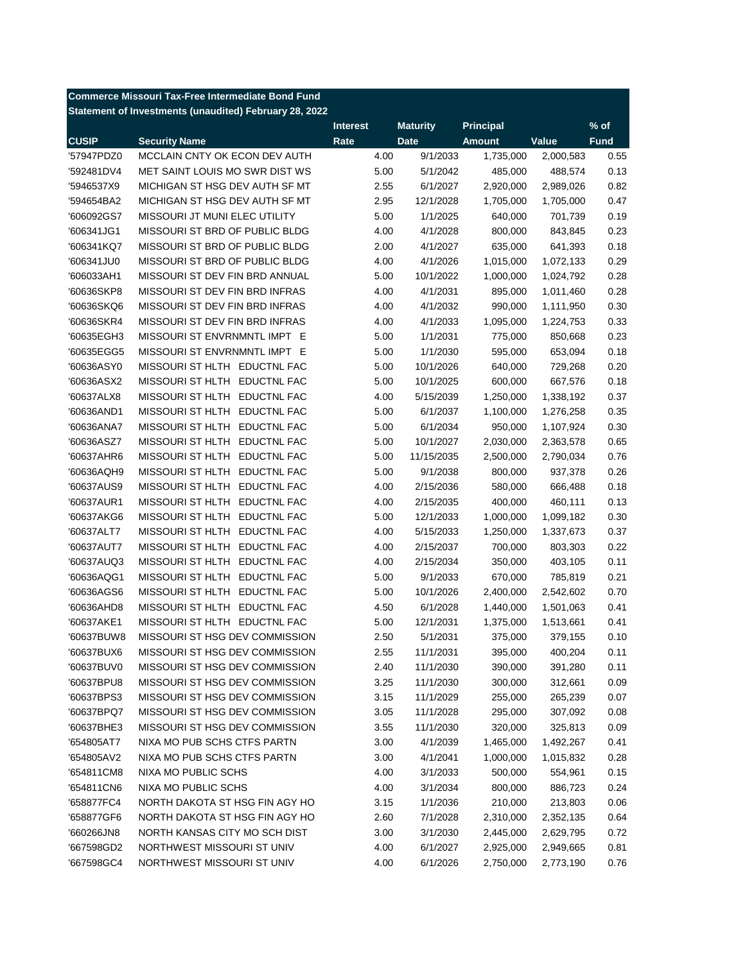| Statement of Investments (unaudited) February 28, 2022<br><b>Principal</b><br>$%$ of<br><b>Interest</b><br><b>Maturity</b><br><b>CUSIP</b><br>Value<br><b>Security Name</b><br>Rate<br><b>Amount</b><br><b>Fund</b><br><b>Date</b><br>'57947PDZ0<br>MCCLAIN CNTY OK ECON DEV AUTH<br>4.00<br>9/1/2033<br>1,735,000<br>0.55<br>2,000,583<br>MET SAINT LOUIS MO SWR DIST WS<br>5.00<br>0.13<br>'592481DV4<br>5/1/2042<br>485,000<br>488,574<br>0.82<br>'5946537X9<br>MICHIGAN ST HSG DEV AUTH SF MT<br>6/1/2027<br>2,920,000<br>2.55<br>2,989,026<br>0.47<br>'594654BA2<br>MICHIGAN ST HSG DEV AUTH SF MT<br>2.95<br>12/1/2028<br>1,705,000<br>1,705,000<br>MISSOURI JT MUNI ELEC UTILITY<br>5.00<br>1/1/2025<br>640,000<br>0.19<br>'606092GS7<br>701,739<br>MISSOURI ST BRD OF PUBLIC BLDG<br>800,000<br>0.23<br>'606341JG1<br>4.00<br>4/1/2028<br>843,845<br>MISSOURI ST BRD OF PUBLIC BLDG<br>2.00<br>635,000<br>0.18<br>'606341KQ7<br>4/1/2027<br>641,393<br>0.29<br>MISSOURI ST BRD OF PUBLIC BLDG<br>4.00<br>'606341JU0<br>4/1/2026<br>1,015,000<br>1,072,133<br>MISSOURI ST DEV FIN BRD ANNUAL<br>5.00<br>1,000,000<br>0.28<br>'606033AH1<br>10/1/2022<br>1,024,792<br>MISSOURI ST DEV FIN BRD INFRAS<br>4.00<br>0.28<br>'60636SKP8<br>4/1/2031<br>895,000<br>1,011,460<br>MISSOURI ST DEV FIN BRD INFRAS<br>4.00<br>990,000<br>0.30<br>'60636SKQ6<br>4/1/2032<br>1,111,950<br>0.33<br>'60636SKR4<br>MISSOURI ST DEV FIN BRD INFRAS<br>4.00<br>4/1/2033<br>1,095,000<br>1,224,753<br>0.23<br>'60635EGH3<br>MISSOURI ST ENVRNMNTL IMPT E<br>5.00<br>1/1/2031<br>775,000<br>850,668<br>0.18<br>MISSOURI ST ENVRNMNTL IMPT E<br>5.00<br>'60635EGG5<br>1/1/2030<br>595,000<br>653,094<br>0.20<br>'60636ASY0<br>MISSOURI ST HLTH EDUCTNL FAC<br>5.00<br>640,000<br>729,268<br>10/1/2026<br>0.18<br>'60636ASX2<br>MISSOURI ST HLTH EDUCTNL FAC<br>5.00<br>10/1/2025<br>600,000<br>667,576<br>MISSOURI ST HLTH<br><b>EDUCTNL FAC</b><br>0.37<br>'60637ALX8<br>4.00<br>5/15/2039<br>1,250,000<br>1,338,192<br>MISSOURI ST HLTH EDUCTNL FAC<br>0.35<br>'60636AND1<br>5.00<br>6/1/2037<br>1,100,000<br>1,276,258<br>MISSOURI ST HLTH<br>0.30<br><b>EDUCTNL FAC</b><br>5.00<br>6/1/2034<br>950,000<br>'60636ANA7<br>1,107,924<br>MISSOURI ST HLTH<br>0.65<br>'60636ASZ7<br><b>EDUCTNL FAC</b><br>5.00<br>10/1/2027<br>2,030,000<br>2,363,578<br><b>MISSOURI ST HLTH</b><br>'60637AHR6<br><b>EDUCTNL FAC</b><br>5.00<br>11/15/2035<br>2,500,000<br>2,790,034<br>0.76<br><b>MISSOURI ST HLTH</b><br>'60636AQH9<br><b>EDUCTNL FAC</b><br>5.00<br>9/1/2038<br>800,000<br>0.26<br>937,378<br><b>MISSOURI ST HLTH</b><br><b>EDUCTNL FAC</b><br>2/15/2036<br>580,000<br>0.18<br>'60637AUS9<br>4.00<br>666,488<br>'60637AUR1<br><b>MISSOURI ST HLTH</b><br><b>EDUCTNL FAC</b><br>4.00<br>400,000<br>0.13<br>2/15/2035<br>460,111<br><b>MISSOURI ST HLTH</b><br><b>EDUCTNL FAC</b><br>5.00<br>12/1/2033<br>1,000,000<br>0.30<br>'60637AKG6<br>1,099,182<br>MISSOURI ST HLTH<br><b>EDUCTNL FAC</b><br>4.00<br>0.37<br>'60637ALT7<br>5/15/2033<br>1,250,000<br>1,337,673<br><b>MISSOURI ST HLTH</b><br><b>EDUCTNL FAC</b><br>4.00<br>0.22<br>'60637AUT7<br>2/15/2037<br>700,000<br>803,303<br><b>MISSOURI ST HLTH</b><br><b>EDUCTNL FAC</b><br>4.00<br>350,000<br>0.11<br>'60637AUQ3<br>2/15/2034<br>403,105<br><b>MISSOURI ST HLTH</b><br><b>EDUCTNL FAC</b><br>5.00<br>670,000<br>0.21<br>'60636AQG1<br>9/1/2033<br>785,819<br>'60636AGS6<br><b>MISSOURI ST HLTH</b><br><b>EDUCTNL FAC</b><br>5.00<br>0.70<br>10/1/2026<br>2,400,000<br>2,542,602<br><b>MISSOURI ST HLTH</b><br><b>EDUCTNL FAC</b><br>0.41<br>'60636AHD8<br>4.50<br>6/1/2028<br>1,440,000<br>1,501,063<br>0.41<br>MISSOURI ST HLTH EDUCTNL FAC<br>5.00<br>12/1/2031<br>'60637AKE1<br>1,375,000<br>1,513,661<br>'60637BUW8<br>MISSOURI ST HSG DEV COMMISSION<br>2.50<br>5/1/2031<br>375,000<br>379,155<br>0.10<br>MISSOURI ST HSG DEV COMMISSION<br>0.11<br>'60637BUX6<br>2.55<br>11/1/2031<br>395,000<br>400,204<br>MISSOURI ST HSG DEV COMMISSION<br>2.40<br>390,000<br>0.11<br>'60637BUV0<br>11/1/2030<br>391,280<br>'60637BPU8<br>MISSOURI ST HSG DEV COMMISSION<br>300,000<br>312,661<br>0.09<br>3.25<br>11/1/2030<br>'60637BPS3<br>MISSOURI ST HSG DEV COMMISSION<br>11/1/2029<br>255,000<br>0.07<br>3.15<br>265,239<br>MISSOURI ST HSG DEV COMMISSION<br>0.08<br>'60637BPQ7<br>3.05<br>11/1/2028<br>295,000<br>307,092<br>MISSOURI ST HSG DEV COMMISSION<br>0.09<br>'60637BHE3<br>3.55<br>11/1/2030<br>320,000<br>325,813<br>NIXA MO PUB SCHS CTFS PARTN<br>3.00<br>0.41<br>'654805AT7<br>4/1/2039<br>1,465,000<br>1,492,267<br>NIXA MO PUB SCHS CTFS PARTN<br>3.00<br>0.28<br>'654805AV2<br>4/1/2041<br>1,000,000<br>1,015,832<br>NIXA MO PUBLIC SCHS<br>4.00<br>0.15<br>'654811CM8<br>3/1/2033<br>500,000<br>554,961<br>NIXA MO PUBLIC SCHS<br>4.00<br>0.24<br>'654811CN6<br>3/1/2034<br>800,000<br>886,723<br>'658877FC4<br>NORTH DAKOTA ST HSG FIN AGY HO<br>3.15<br>210,000<br>0.06<br>1/1/2036<br>213,803<br>NORTH DAKOTA ST HSG FIN AGY HO<br>2.60<br>7/1/2028<br>0.64<br>'658877GF6<br>2,310,000<br>2,352,135<br>'660266JN8<br>NORTH KANSAS CITY MO SCH DIST<br>3.00<br>0.72<br>3/1/2030<br>2,445,000<br>2,629,795<br>NORTHWEST MISSOURI ST UNIV<br>4.00<br>0.81<br>'667598GD2<br>6/1/2027<br>2,925,000<br>2,949,665<br>'667598GC4<br>NORTHWEST MISSOURI ST UNIV<br>4.00<br>6/1/2026<br>0.76<br>2,750,000<br>2,773,190 | <b>Commerce Missouri Tax-Free Intermediate Bond Fund</b> |  |  |  |
|---------------------------------------------------------------------------------------------------------------------------------------------------------------------------------------------------------------------------------------------------------------------------------------------------------------------------------------------------------------------------------------------------------------------------------------------------------------------------------------------------------------------------------------------------------------------------------------------------------------------------------------------------------------------------------------------------------------------------------------------------------------------------------------------------------------------------------------------------------------------------------------------------------------------------------------------------------------------------------------------------------------------------------------------------------------------------------------------------------------------------------------------------------------------------------------------------------------------------------------------------------------------------------------------------------------------------------------------------------------------------------------------------------------------------------------------------------------------------------------------------------------------------------------------------------------------------------------------------------------------------------------------------------------------------------------------------------------------------------------------------------------------------------------------------------------------------------------------------------------------------------------------------------------------------------------------------------------------------------------------------------------------------------------------------------------------------------------------------------------------------------------------------------------------------------------------------------------------------------------------------------------------------------------------------------------------------------------------------------------------------------------------------------------------------------------------------------------------------------------------------------------------------------------------------------------------------------------------------------------------------------------------------------------------------------------------------------------------------------------------------------------------------------------------------------------------------------------------------------------------------------------------------------------------------------------------------------------------------------------------------------------------------------------------------------------------------------------------------------------------------------------------------------------------------------------------------------------------------------------------------------------------------------------------------------------------------------------------------------------------------------------------------------------------------------------------------------------------------------------------------------------------------------------------------------------------------------------------------------------------------------------------------------------------------------------------------------------------------------------------------------------------------------------------------------------------------------------------------------------------------------------------------------------------------------------------------------------------------------------------------------------------------------------------------------------------------------------------------------------------------------------------------------------------------------------------------------------------------------------------------------------------------------------------------------------------------------------------------------------------------------------------------------------------------------------------------------------------------------------------------------------------------------------------------------------------------------------------------------------------------------------------------------------------------------------------------------------------------------------------------------------------------------------------------------------------------------------------------------------------------------------------------------------------------------------------------------------------------------------------------------------------------------------------------------------------------------------------------------------------------------------------------------------------------------------------------------------------------------------------------------------------------------------------------------------------------------------------------------------------------------------|----------------------------------------------------------|--|--|--|
|                                                                                                                                                                                                                                                                                                                                                                                                                                                                                                                                                                                                                                                                                                                                                                                                                                                                                                                                                                                                                                                                                                                                                                                                                                                                                                                                                                                                                                                                                                                                                                                                                                                                                                                                                                                                                                                                                                                                                                                                                                                                                                                                                                                                                                                                                                                                                                                                                                                                                                                                                                                                                                                                                                                                                                                                                                                                                                                                                                                                                                                                                                                                                                                                                                                                                                                                                                                                                                                                                                                                                                                                                                                                                                                                                                                                                                                                                                                                                                                                                                                                                                                                                                                                                                                                                                                                                                                                                                                                                                                                                                                                                                                                                                                                                                                                                                                                                                                                                                                                                                                                                                                                                                                                                                                                                                                                                                                       |                                                          |  |  |  |
|                                                                                                                                                                                                                                                                                                                                                                                                                                                                                                                                                                                                                                                                                                                                                                                                                                                                                                                                                                                                                                                                                                                                                                                                                                                                                                                                                                                                                                                                                                                                                                                                                                                                                                                                                                                                                                                                                                                                                                                                                                                                                                                                                                                                                                                                                                                                                                                                                                                                                                                                                                                                                                                                                                                                                                                                                                                                                                                                                                                                                                                                                                                                                                                                                                                                                                                                                                                                                                                                                                                                                                                                                                                                                                                                                                                                                                                                                                                                                                                                                                                                                                                                                                                                                                                                                                                                                                                                                                                                                                                                                                                                                                                                                                                                                                                                                                                                                                                                                                                                                                                                                                                                                                                                                                                                                                                                                                                       |                                                          |  |  |  |
|                                                                                                                                                                                                                                                                                                                                                                                                                                                                                                                                                                                                                                                                                                                                                                                                                                                                                                                                                                                                                                                                                                                                                                                                                                                                                                                                                                                                                                                                                                                                                                                                                                                                                                                                                                                                                                                                                                                                                                                                                                                                                                                                                                                                                                                                                                                                                                                                                                                                                                                                                                                                                                                                                                                                                                                                                                                                                                                                                                                                                                                                                                                                                                                                                                                                                                                                                                                                                                                                                                                                                                                                                                                                                                                                                                                                                                                                                                                                                                                                                                                                                                                                                                                                                                                                                                                                                                                                                                                                                                                                                                                                                                                                                                                                                                                                                                                                                                                                                                                                                                                                                                                                                                                                                                                                                                                                                                                       |                                                          |  |  |  |
|                                                                                                                                                                                                                                                                                                                                                                                                                                                                                                                                                                                                                                                                                                                                                                                                                                                                                                                                                                                                                                                                                                                                                                                                                                                                                                                                                                                                                                                                                                                                                                                                                                                                                                                                                                                                                                                                                                                                                                                                                                                                                                                                                                                                                                                                                                                                                                                                                                                                                                                                                                                                                                                                                                                                                                                                                                                                                                                                                                                                                                                                                                                                                                                                                                                                                                                                                                                                                                                                                                                                                                                                                                                                                                                                                                                                                                                                                                                                                                                                                                                                                                                                                                                                                                                                                                                                                                                                                                                                                                                                                                                                                                                                                                                                                                                                                                                                                                                                                                                                                                                                                                                                                                                                                                                                                                                                                                                       |                                                          |  |  |  |
|                                                                                                                                                                                                                                                                                                                                                                                                                                                                                                                                                                                                                                                                                                                                                                                                                                                                                                                                                                                                                                                                                                                                                                                                                                                                                                                                                                                                                                                                                                                                                                                                                                                                                                                                                                                                                                                                                                                                                                                                                                                                                                                                                                                                                                                                                                                                                                                                                                                                                                                                                                                                                                                                                                                                                                                                                                                                                                                                                                                                                                                                                                                                                                                                                                                                                                                                                                                                                                                                                                                                                                                                                                                                                                                                                                                                                                                                                                                                                                                                                                                                                                                                                                                                                                                                                                                                                                                                                                                                                                                                                                                                                                                                                                                                                                                                                                                                                                                                                                                                                                                                                                                                                                                                                                                                                                                                                                                       |                                                          |  |  |  |
|                                                                                                                                                                                                                                                                                                                                                                                                                                                                                                                                                                                                                                                                                                                                                                                                                                                                                                                                                                                                                                                                                                                                                                                                                                                                                                                                                                                                                                                                                                                                                                                                                                                                                                                                                                                                                                                                                                                                                                                                                                                                                                                                                                                                                                                                                                                                                                                                                                                                                                                                                                                                                                                                                                                                                                                                                                                                                                                                                                                                                                                                                                                                                                                                                                                                                                                                                                                                                                                                                                                                                                                                                                                                                                                                                                                                                                                                                                                                                                                                                                                                                                                                                                                                                                                                                                                                                                                                                                                                                                                                                                                                                                                                                                                                                                                                                                                                                                                                                                                                                                                                                                                                                                                                                                                                                                                                                                                       |                                                          |  |  |  |
|                                                                                                                                                                                                                                                                                                                                                                                                                                                                                                                                                                                                                                                                                                                                                                                                                                                                                                                                                                                                                                                                                                                                                                                                                                                                                                                                                                                                                                                                                                                                                                                                                                                                                                                                                                                                                                                                                                                                                                                                                                                                                                                                                                                                                                                                                                                                                                                                                                                                                                                                                                                                                                                                                                                                                                                                                                                                                                                                                                                                                                                                                                                                                                                                                                                                                                                                                                                                                                                                                                                                                                                                                                                                                                                                                                                                                                                                                                                                                                                                                                                                                                                                                                                                                                                                                                                                                                                                                                                                                                                                                                                                                                                                                                                                                                                                                                                                                                                                                                                                                                                                                                                                                                                                                                                                                                                                                                                       |                                                          |  |  |  |
|                                                                                                                                                                                                                                                                                                                                                                                                                                                                                                                                                                                                                                                                                                                                                                                                                                                                                                                                                                                                                                                                                                                                                                                                                                                                                                                                                                                                                                                                                                                                                                                                                                                                                                                                                                                                                                                                                                                                                                                                                                                                                                                                                                                                                                                                                                                                                                                                                                                                                                                                                                                                                                                                                                                                                                                                                                                                                                                                                                                                                                                                                                                                                                                                                                                                                                                                                                                                                                                                                                                                                                                                                                                                                                                                                                                                                                                                                                                                                                                                                                                                                                                                                                                                                                                                                                                                                                                                                                                                                                                                                                                                                                                                                                                                                                                                                                                                                                                                                                                                                                                                                                                                                                                                                                                                                                                                                                                       |                                                          |  |  |  |
|                                                                                                                                                                                                                                                                                                                                                                                                                                                                                                                                                                                                                                                                                                                                                                                                                                                                                                                                                                                                                                                                                                                                                                                                                                                                                                                                                                                                                                                                                                                                                                                                                                                                                                                                                                                                                                                                                                                                                                                                                                                                                                                                                                                                                                                                                                                                                                                                                                                                                                                                                                                                                                                                                                                                                                                                                                                                                                                                                                                                                                                                                                                                                                                                                                                                                                                                                                                                                                                                                                                                                                                                                                                                                                                                                                                                                                                                                                                                                                                                                                                                                                                                                                                                                                                                                                                                                                                                                                                                                                                                                                                                                                                                                                                                                                                                                                                                                                                                                                                                                                                                                                                                                                                                                                                                                                                                                                                       |                                                          |  |  |  |
|                                                                                                                                                                                                                                                                                                                                                                                                                                                                                                                                                                                                                                                                                                                                                                                                                                                                                                                                                                                                                                                                                                                                                                                                                                                                                                                                                                                                                                                                                                                                                                                                                                                                                                                                                                                                                                                                                                                                                                                                                                                                                                                                                                                                                                                                                                                                                                                                                                                                                                                                                                                                                                                                                                                                                                                                                                                                                                                                                                                                                                                                                                                                                                                                                                                                                                                                                                                                                                                                                                                                                                                                                                                                                                                                                                                                                                                                                                                                                                                                                                                                                                                                                                                                                                                                                                                                                                                                                                                                                                                                                                                                                                                                                                                                                                                                                                                                                                                                                                                                                                                                                                                                                                                                                                                                                                                                                                                       |                                                          |  |  |  |
|                                                                                                                                                                                                                                                                                                                                                                                                                                                                                                                                                                                                                                                                                                                                                                                                                                                                                                                                                                                                                                                                                                                                                                                                                                                                                                                                                                                                                                                                                                                                                                                                                                                                                                                                                                                                                                                                                                                                                                                                                                                                                                                                                                                                                                                                                                                                                                                                                                                                                                                                                                                                                                                                                                                                                                                                                                                                                                                                                                                                                                                                                                                                                                                                                                                                                                                                                                                                                                                                                                                                                                                                                                                                                                                                                                                                                                                                                                                                                                                                                                                                                                                                                                                                                                                                                                                                                                                                                                                                                                                                                                                                                                                                                                                                                                                                                                                                                                                                                                                                                                                                                                                                                                                                                                                                                                                                                                                       |                                                          |  |  |  |
|                                                                                                                                                                                                                                                                                                                                                                                                                                                                                                                                                                                                                                                                                                                                                                                                                                                                                                                                                                                                                                                                                                                                                                                                                                                                                                                                                                                                                                                                                                                                                                                                                                                                                                                                                                                                                                                                                                                                                                                                                                                                                                                                                                                                                                                                                                                                                                                                                                                                                                                                                                                                                                                                                                                                                                                                                                                                                                                                                                                                                                                                                                                                                                                                                                                                                                                                                                                                                                                                                                                                                                                                                                                                                                                                                                                                                                                                                                                                                                                                                                                                                                                                                                                                                                                                                                                                                                                                                                                                                                                                                                                                                                                                                                                                                                                                                                                                                                                                                                                                                                                                                                                                                                                                                                                                                                                                                                                       |                                                          |  |  |  |
|                                                                                                                                                                                                                                                                                                                                                                                                                                                                                                                                                                                                                                                                                                                                                                                                                                                                                                                                                                                                                                                                                                                                                                                                                                                                                                                                                                                                                                                                                                                                                                                                                                                                                                                                                                                                                                                                                                                                                                                                                                                                                                                                                                                                                                                                                                                                                                                                                                                                                                                                                                                                                                                                                                                                                                                                                                                                                                                                                                                                                                                                                                                                                                                                                                                                                                                                                                                                                                                                                                                                                                                                                                                                                                                                                                                                                                                                                                                                                                                                                                                                                                                                                                                                                                                                                                                                                                                                                                                                                                                                                                                                                                                                                                                                                                                                                                                                                                                                                                                                                                                                                                                                                                                                                                                                                                                                                                                       |                                                          |  |  |  |
|                                                                                                                                                                                                                                                                                                                                                                                                                                                                                                                                                                                                                                                                                                                                                                                                                                                                                                                                                                                                                                                                                                                                                                                                                                                                                                                                                                                                                                                                                                                                                                                                                                                                                                                                                                                                                                                                                                                                                                                                                                                                                                                                                                                                                                                                                                                                                                                                                                                                                                                                                                                                                                                                                                                                                                                                                                                                                                                                                                                                                                                                                                                                                                                                                                                                                                                                                                                                                                                                                                                                                                                                                                                                                                                                                                                                                                                                                                                                                                                                                                                                                                                                                                                                                                                                                                                                                                                                                                                                                                                                                                                                                                                                                                                                                                                                                                                                                                                                                                                                                                                                                                                                                                                                                                                                                                                                                                                       |                                                          |  |  |  |
|                                                                                                                                                                                                                                                                                                                                                                                                                                                                                                                                                                                                                                                                                                                                                                                                                                                                                                                                                                                                                                                                                                                                                                                                                                                                                                                                                                                                                                                                                                                                                                                                                                                                                                                                                                                                                                                                                                                                                                                                                                                                                                                                                                                                                                                                                                                                                                                                                                                                                                                                                                                                                                                                                                                                                                                                                                                                                                                                                                                                                                                                                                                                                                                                                                                                                                                                                                                                                                                                                                                                                                                                                                                                                                                                                                                                                                                                                                                                                                                                                                                                                                                                                                                                                                                                                                                                                                                                                                                                                                                                                                                                                                                                                                                                                                                                                                                                                                                                                                                                                                                                                                                                                                                                                                                                                                                                                                                       |                                                          |  |  |  |
|                                                                                                                                                                                                                                                                                                                                                                                                                                                                                                                                                                                                                                                                                                                                                                                                                                                                                                                                                                                                                                                                                                                                                                                                                                                                                                                                                                                                                                                                                                                                                                                                                                                                                                                                                                                                                                                                                                                                                                                                                                                                                                                                                                                                                                                                                                                                                                                                                                                                                                                                                                                                                                                                                                                                                                                                                                                                                                                                                                                                                                                                                                                                                                                                                                                                                                                                                                                                                                                                                                                                                                                                                                                                                                                                                                                                                                                                                                                                                                                                                                                                                                                                                                                                                                                                                                                                                                                                                                                                                                                                                                                                                                                                                                                                                                                                                                                                                                                                                                                                                                                                                                                                                                                                                                                                                                                                                                                       |                                                          |  |  |  |
|                                                                                                                                                                                                                                                                                                                                                                                                                                                                                                                                                                                                                                                                                                                                                                                                                                                                                                                                                                                                                                                                                                                                                                                                                                                                                                                                                                                                                                                                                                                                                                                                                                                                                                                                                                                                                                                                                                                                                                                                                                                                                                                                                                                                                                                                                                                                                                                                                                                                                                                                                                                                                                                                                                                                                                                                                                                                                                                                                                                                                                                                                                                                                                                                                                                                                                                                                                                                                                                                                                                                                                                                                                                                                                                                                                                                                                                                                                                                                                                                                                                                                                                                                                                                                                                                                                                                                                                                                                                                                                                                                                                                                                                                                                                                                                                                                                                                                                                                                                                                                                                                                                                                                                                                                                                                                                                                                                                       |                                                          |  |  |  |
|                                                                                                                                                                                                                                                                                                                                                                                                                                                                                                                                                                                                                                                                                                                                                                                                                                                                                                                                                                                                                                                                                                                                                                                                                                                                                                                                                                                                                                                                                                                                                                                                                                                                                                                                                                                                                                                                                                                                                                                                                                                                                                                                                                                                                                                                                                                                                                                                                                                                                                                                                                                                                                                                                                                                                                                                                                                                                                                                                                                                                                                                                                                                                                                                                                                                                                                                                                                                                                                                                                                                                                                                                                                                                                                                                                                                                                                                                                                                                                                                                                                                                                                                                                                                                                                                                                                                                                                                                                                                                                                                                                                                                                                                                                                                                                                                                                                                                                                                                                                                                                                                                                                                                                                                                                                                                                                                                                                       |                                                          |  |  |  |
|                                                                                                                                                                                                                                                                                                                                                                                                                                                                                                                                                                                                                                                                                                                                                                                                                                                                                                                                                                                                                                                                                                                                                                                                                                                                                                                                                                                                                                                                                                                                                                                                                                                                                                                                                                                                                                                                                                                                                                                                                                                                                                                                                                                                                                                                                                                                                                                                                                                                                                                                                                                                                                                                                                                                                                                                                                                                                                                                                                                                                                                                                                                                                                                                                                                                                                                                                                                                                                                                                                                                                                                                                                                                                                                                                                                                                                                                                                                                                                                                                                                                                                                                                                                                                                                                                                                                                                                                                                                                                                                                                                                                                                                                                                                                                                                                                                                                                                                                                                                                                                                                                                                                                                                                                                                                                                                                                                                       |                                                          |  |  |  |
|                                                                                                                                                                                                                                                                                                                                                                                                                                                                                                                                                                                                                                                                                                                                                                                                                                                                                                                                                                                                                                                                                                                                                                                                                                                                                                                                                                                                                                                                                                                                                                                                                                                                                                                                                                                                                                                                                                                                                                                                                                                                                                                                                                                                                                                                                                                                                                                                                                                                                                                                                                                                                                                                                                                                                                                                                                                                                                                                                                                                                                                                                                                                                                                                                                                                                                                                                                                                                                                                                                                                                                                                                                                                                                                                                                                                                                                                                                                                                                                                                                                                                                                                                                                                                                                                                                                                                                                                                                                                                                                                                                                                                                                                                                                                                                                                                                                                                                                                                                                                                                                                                                                                                                                                                                                                                                                                                                                       |                                                          |  |  |  |
|                                                                                                                                                                                                                                                                                                                                                                                                                                                                                                                                                                                                                                                                                                                                                                                                                                                                                                                                                                                                                                                                                                                                                                                                                                                                                                                                                                                                                                                                                                                                                                                                                                                                                                                                                                                                                                                                                                                                                                                                                                                                                                                                                                                                                                                                                                                                                                                                                                                                                                                                                                                                                                                                                                                                                                                                                                                                                                                                                                                                                                                                                                                                                                                                                                                                                                                                                                                                                                                                                                                                                                                                                                                                                                                                                                                                                                                                                                                                                                                                                                                                                                                                                                                                                                                                                                                                                                                                                                                                                                                                                                                                                                                                                                                                                                                                                                                                                                                                                                                                                                                                                                                                                                                                                                                                                                                                                                                       |                                                          |  |  |  |
|                                                                                                                                                                                                                                                                                                                                                                                                                                                                                                                                                                                                                                                                                                                                                                                                                                                                                                                                                                                                                                                                                                                                                                                                                                                                                                                                                                                                                                                                                                                                                                                                                                                                                                                                                                                                                                                                                                                                                                                                                                                                                                                                                                                                                                                                                                                                                                                                                                                                                                                                                                                                                                                                                                                                                                                                                                                                                                                                                                                                                                                                                                                                                                                                                                                                                                                                                                                                                                                                                                                                                                                                                                                                                                                                                                                                                                                                                                                                                                                                                                                                                                                                                                                                                                                                                                                                                                                                                                                                                                                                                                                                                                                                                                                                                                                                                                                                                                                                                                                                                                                                                                                                                                                                                                                                                                                                                                                       |                                                          |  |  |  |
|                                                                                                                                                                                                                                                                                                                                                                                                                                                                                                                                                                                                                                                                                                                                                                                                                                                                                                                                                                                                                                                                                                                                                                                                                                                                                                                                                                                                                                                                                                                                                                                                                                                                                                                                                                                                                                                                                                                                                                                                                                                                                                                                                                                                                                                                                                                                                                                                                                                                                                                                                                                                                                                                                                                                                                                                                                                                                                                                                                                                                                                                                                                                                                                                                                                                                                                                                                                                                                                                                                                                                                                                                                                                                                                                                                                                                                                                                                                                                                                                                                                                                                                                                                                                                                                                                                                                                                                                                                                                                                                                                                                                                                                                                                                                                                                                                                                                                                                                                                                                                                                                                                                                                                                                                                                                                                                                                                                       |                                                          |  |  |  |
|                                                                                                                                                                                                                                                                                                                                                                                                                                                                                                                                                                                                                                                                                                                                                                                                                                                                                                                                                                                                                                                                                                                                                                                                                                                                                                                                                                                                                                                                                                                                                                                                                                                                                                                                                                                                                                                                                                                                                                                                                                                                                                                                                                                                                                                                                                                                                                                                                                                                                                                                                                                                                                                                                                                                                                                                                                                                                                                                                                                                                                                                                                                                                                                                                                                                                                                                                                                                                                                                                                                                                                                                                                                                                                                                                                                                                                                                                                                                                                                                                                                                                                                                                                                                                                                                                                                                                                                                                                                                                                                                                                                                                                                                                                                                                                                                                                                                                                                                                                                                                                                                                                                                                                                                                                                                                                                                                                                       |                                                          |  |  |  |
|                                                                                                                                                                                                                                                                                                                                                                                                                                                                                                                                                                                                                                                                                                                                                                                                                                                                                                                                                                                                                                                                                                                                                                                                                                                                                                                                                                                                                                                                                                                                                                                                                                                                                                                                                                                                                                                                                                                                                                                                                                                                                                                                                                                                                                                                                                                                                                                                                                                                                                                                                                                                                                                                                                                                                                                                                                                                                                                                                                                                                                                                                                                                                                                                                                                                                                                                                                                                                                                                                                                                                                                                                                                                                                                                                                                                                                                                                                                                                                                                                                                                                                                                                                                                                                                                                                                                                                                                                                                                                                                                                                                                                                                                                                                                                                                                                                                                                                                                                                                                                                                                                                                                                                                                                                                                                                                                                                                       |                                                          |  |  |  |
|                                                                                                                                                                                                                                                                                                                                                                                                                                                                                                                                                                                                                                                                                                                                                                                                                                                                                                                                                                                                                                                                                                                                                                                                                                                                                                                                                                                                                                                                                                                                                                                                                                                                                                                                                                                                                                                                                                                                                                                                                                                                                                                                                                                                                                                                                                                                                                                                                                                                                                                                                                                                                                                                                                                                                                                                                                                                                                                                                                                                                                                                                                                                                                                                                                                                                                                                                                                                                                                                                                                                                                                                                                                                                                                                                                                                                                                                                                                                                                                                                                                                                                                                                                                                                                                                                                                                                                                                                                                                                                                                                                                                                                                                                                                                                                                                                                                                                                                                                                                                                                                                                                                                                                                                                                                                                                                                                                                       |                                                          |  |  |  |
|                                                                                                                                                                                                                                                                                                                                                                                                                                                                                                                                                                                                                                                                                                                                                                                                                                                                                                                                                                                                                                                                                                                                                                                                                                                                                                                                                                                                                                                                                                                                                                                                                                                                                                                                                                                                                                                                                                                                                                                                                                                                                                                                                                                                                                                                                                                                                                                                                                                                                                                                                                                                                                                                                                                                                                                                                                                                                                                                                                                                                                                                                                                                                                                                                                                                                                                                                                                                                                                                                                                                                                                                                                                                                                                                                                                                                                                                                                                                                                                                                                                                                                                                                                                                                                                                                                                                                                                                                                                                                                                                                                                                                                                                                                                                                                                                                                                                                                                                                                                                                                                                                                                                                                                                                                                                                                                                                                                       |                                                          |  |  |  |
|                                                                                                                                                                                                                                                                                                                                                                                                                                                                                                                                                                                                                                                                                                                                                                                                                                                                                                                                                                                                                                                                                                                                                                                                                                                                                                                                                                                                                                                                                                                                                                                                                                                                                                                                                                                                                                                                                                                                                                                                                                                                                                                                                                                                                                                                                                                                                                                                                                                                                                                                                                                                                                                                                                                                                                                                                                                                                                                                                                                                                                                                                                                                                                                                                                                                                                                                                                                                                                                                                                                                                                                                                                                                                                                                                                                                                                                                                                                                                                                                                                                                                                                                                                                                                                                                                                                                                                                                                                                                                                                                                                                                                                                                                                                                                                                                                                                                                                                                                                                                                                                                                                                                                                                                                                                                                                                                                                                       |                                                          |  |  |  |
|                                                                                                                                                                                                                                                                                                                                                                                                                                                                                                                                                                                                                                                                                                                                                                                                                                                                                                                                                                                                                                                                                                                                                                                                                                                                                                                                                                                                                                                                                                                                                                                                                                                                                                                                                                                                                                                                                                                                                                                                                                                                                                                                                                                                                                                                                                                                                                                                                                                                                                                                                                                                                                                                                                                                                                                                                                                                                                                                                                                                                                                                                                                                                                                                                                                                                                                                                                                                                                                                                                                                                                                                                                                                                                                                                                                                                                                                                                                                                                                                                                                                                                                                                                                                                                                                                                                                                                                                                                                                                                                                                                                                                                                                                                                                                                                                                                                                                                                                                                                                                                                                                                                                                                                                                                                                                                                                                                                       |                                                          |  |  |  |
|                                                                                                                                                                                                                                                                                                                                                                                                                                                                                                                                                                                                                                                                                                                                                                                                                                                                                                                                                                                                                                                                                                                                                                                                                                                                                                                                                                                                                                                                                                                                                                                                                                                                                                                                                                                                                                                                                                                                                                                                                                                                                                                                                                                                                                                                                                                                                                                                                                                                                                                                                                                                                                                                                                                                                                                                                                                                                                                                                                                                                                                                                                                                                                                                                                                                                                                                                                                                                                                                                                                                                                                                                                                                                                                                                                                                                                                                                                                                                                                                                                                                                                                                                                                                                                                                                                                                                                                                                                                                                                                                                                                                                                                                                                                                                                                                                                                                                                                                                                                                                                                                                                                                                                                                                                                                                                                                                                                       |                                                          |  |  |  |
|                                                                                                                                                                                                                                                                                                                                                                                                                                                                                                                                                                                                                                                                                                                                                                                                                                                                                                                                                                                                                                                                                                                                                                                                                                                                                                                                                                                                                                                                                                                                                                                                                                                                                                                                                                                                                                                                                                                                                                                                                                                                                                                                                                                                                                                                                                                                                                                                                                                                                                                                                                                                                                                                                                                                                                                                                                                                                                                                                                                                                                                                                                                                                                                                                                                                                                                                                                                                                                                                                                                                                                                                                                                                                                                                                                                                                                                                                                                                                                                                                                                                                                                                                                                                                                                                                                                                                                                                                                                                                                                                                                                                                                                                                                                                                                                                                                                                                                                                                                                                                                                                                                                                                                                                                                                                                                                                                                                       |                                                          |  |  |  |
|                                                                                                                                                                                                                                                                                                                                                                                                                                                                                                                                                                                                                                                                                                                                                                                                                                                                                                                                                                                                                                                                                                                                                                                                                                                                                                                                                                                                                                                                                                                                                                                                                                                                                                                                                                                                                                                                                                                                                                                                                                                                                                                                                                                                                                                                                                                                                                                                                                                                                                                                                                                                                                                                                                                                                                                                                                                                                                                                                                                                                                                                                                                                                                                                                                                                                                                                                                                                                                                                                                                                                                                                                                                                                                                                                                                                                                                                                                                                                                                                                                                                                                                                                                                                                                                                                                                                                                                                                                                                                                                                                                                                                                                                                                                                                                                                                                                                                                                                                                                                                                                                                                                                                                                                                                                                                                                                                                                       |                                                          |  |  |  |
|                                                                                                                                                                                                                                                                                                                                                                                                                                                                                                                                                                                                                                                                                                                                                                                                                                                                                                                                                                                                                                                                                                                                                                                                                                                                                                                                                                                                                                                                                                                                                                                                                                                                                                                                                                                                                                                                                                                                                                                                                                                                                                                                                                                                                                                                                                                                                                                                                                                                                                                                                                                                                                                                                                                                                                                                                                                                                                                                                                                                                                                                                                                                                                                                                                                                                                                                                                                                                                                                                                                                                                                                                                                                                                                                                                                                                                                                                                                                                                                                                                                                                                                                                                                                                                                                                                                                                                                                                                                                                                                                                                                                                                                                                                                                                                                                                                                                                                                                                                                                                                                                                                                                                                                                                                                                                                                                                                                       |                                                          |  |  |  |
|                                                                                                                                                                                                                                                                                                                                                                                                                                                                                                                                                                                                                                                                                                                                                                                                                                                                                                                                                                                                                                                                                                                                                                                                                                                                                                                                                                                                                                                                                                                                                                                                                                                                                                                                                                                                                                                                                                                                                                                                                                                                                                                                                                                                                                                                                                                                                                                                                                                                                                                                                                                                                                                                                                                                                                                                                                                                                                                                                                                                                                                                                                                                                                                                                                                                                                                                                                                                                                                                                                                                                                                                                                                                                                                                                                                                                                                                                                                                                                                                                                                                                                                                                                                                                                                                                                                                                                                                                                                                                                                                                                                                                                                                                                                                                                                                                                                                                                                                                                                                                                                                                                                                                                                                                                                                                                                                                                                       |                                                          |  |  |  |
|                                                                                                                                                                                                                                                                                                                                                                                                                                                                                                                                                                                                                                                                                                                                                                                                                                                                                                                                                                                                                                                                                                                                                                                                                                                                                                                                                                                                                                                                                                                                                                                                                                                                                                                                                                                                                                                                                                                                                                                                                                                                                                                                                                                                                                                                                                                                                                                                                                                                                                                                                                                                                                                                                                                                                                                                                                                                                                                                                                                                                                                                                                                                                                                                                                                                                                                                                                                                                                                                                                                                                                                                                                                                                                                                                                                                                                                                                                                                                                                                                                                                                                                                                                                                                                                                                                                                                                                                                                                                                                                                                                                                                                                                                                                                                                                                                                                                                                                                                                                                                                                                                                                                                                                                                                                                                                                                                                                       |                                                          |  |  |  |
|                                                                                                                                                                                                                                                                                                                                                                                                                                                                                                                                                                                                                                                                                                                                                                                                                                                                                                                                                                                                                                                                                                                                                                                                                                                                                                                                                                                                                                                                                                                                                                                                                                                                                                                                                                                                                                                                                                                                                                                                                                                                                                                                                                                                                                                                                                                                                                                                                                                                                                                                                                                                                                                                                                                                                                                                                                                                                                                                                                                                                                                                                                                                                                                                                                                                                                                                                                                                                                                                                                                                                                                                                                                                                                                                                                                                                                                                                                                                                                                                                                                                                                                                                                                                                                                                                                                                                                                                                                                                                                                                                                                                                                                                                                                                                                                                                                                                                                                                                                                                                                                                                                                                                                                                                                                                                                                                                                                       |                                                          |  |  |  |
|                                                                                                                                                                                                                                                                                                                                                                                                                                                                                                                                                                                                                                                                                                                                                                                                                                                                                                                                                                                                                                                                                                                                                                                                                                                                                                                                                                                                                                                                                                                                                                                                                                                                                                                                                                                                                                                                                                                                                                                                                                                                                                                                                                                                                                                                                                                                                                                                                                                                                                                                                                                                                                                                                                                                                                                                                                                                                                                                                                                                                                                                                                                                                                                                                                                                                                                                                                                                                                                                                                                                                                                                                                                                                                                                                                                                                                                                                                                                                                                                                                                                                                                                                                                                                                                                                                                                                                                                                                                                                                                                                                                                                                                                                                                                                                                                                                                                                                                                                                                                                                                                                                                                                                                                                                                                                                                                                                                       |                                                          |  |  |  |
|                                                                                                                                                                                                                                                                                                                                                                                                                                                                                                                                                                                                                                                                                                                                                                                                                                                                                                                                                                                                                                                                                                                                                                                                                                                                                                                                                                                                                                                                                                                                                                                                                                                                                                                                                                                                                                                                                                                                                                                                                                                                                                                                                                                                                                                                                                                                                                                                                                                                                                                                                                                                                                                                                                                                                                                                                                                                                                                                                                                                                                                                                                                                                                                                                                                                                                                                                                                                                                                                                                                                                                                                                                                                                                                                                                                                                                                                                                                                                                                                                                                                                                                                                                                                                                                                                                                                                                                                                                                                                                                                                                                                                                                                                                                                                                                                                                                                                                                                                                                                                                                                                                                                                                                                                                                                                                                                                                                       |                                                          |  |  |  |
|                                                                                                                                                                                                                                                                                                                                                                                                                                                                                                                                                                                                                                                                                                                                                                                                                                                                                                                                                                                                                                                                                                                                                                                                                                                                                                                                                                                                                                                                                                                                                                                                                                                                                                                                                                                                                                                                                                                                                                                                                                                                                                                                                                                                                                                                                                                                                                                                                                                                                                                                                                                                                                                                                                                                                                                                                                                                                                                                                                                                                                                                                                                                                                                                                                                                                                                                                                                                                                                                                                                                                                                                                                                                                                                                                                                                                                                                                                                                                                                                                                                                                                                                                                                                                                                                                                                                                                                                                                                                                                                                                                                                                                                                                                                                                                                                                                                                                                                                                                                                                                                                                                                                                                                                                                                                                                                                                                                       |                                                          |  |  |  |
|                                                                                                                                                                                                                                                                                                                                                                                                                                                                                                                                                                                                                                                                                                                                                                                                                                                                                                                                                                                                                                                                                                                                                                                                                                                                                                                                                                                                                                                                                                                                                                                                                                                                                                                                                                                                                                                                                                                                                                                                                                                                                                                                                                                                                                                                                                                                                                                                                                                                                                                                                                                                                                                                                                                                                                                                                                                                                                                                                                                                                                                                                                                                                                                                                                                                                                                                                                                                                                                                                                                                                                                                                                                                                                                                                                                                                                                                                                                                                                                                                                                                                                                                                                                                                                                                                                                                                                                                                                                                                                                                                                                                                                                                                                                                                                                                                                                                                                                                                                                                                                                                                                                                                                                                                                                                                                                                                                                       |                                                          |  |  |  |
|                                                                                                                                                                                                                                                                                                                                                                                                                                                                                                                                                                                                                                                                                                                                                                                                                                                                                                                                                                                                                                                                                                                                                                                                                                                                                                                                                                                                                                                                                                                                                                                                                                                                                                                                                                                                                                                                                                                                                                                                                                                                                                                                                                                                                                                                                                                                                                                                                                                                                                                                                                                                                                                                                                                                                                                                                                                                                                                                                                                                                                                                                                                                                                                                                                                                                                                                                                                                                                                                                                                                                                                                                                                                                                                                                                                                                                                                                                                                                                                                                                                                                                                                                                                                                                                                                                                                                                                                                                                                                                                                                                                                                                                                                                                                                                                                                                                                                                                                                                                                                                                                                                                                                                                                                                                                                                                                                                                       |                                                          |  |  |  |
|                                                                                                                                                                                                                                                                                                                                                                                                                                                                                                                                                                                                                                                                                                                                                                                                                                                                                                                                                                                                                                                                                                                                                                                                                                                                                                                                                                                                                                                                                                                                                                                                                                                                                                                                                                                                                                                                                                                                                                                                                                                                                                                                                                                                                                                                                                                                                                                                                                                                                                                                                                                                                                                                                                                                                                                                                                                                                                                                                                                                                                                                                                                                                                                                                                                                                                                                                                                                                                                                                                                                                                                                                                                                                                                                                                                                                                                                                                                                                                                                                                                                                                                                                                                                                                                                                                                                                                                                                                                                                                                                                                                                                                                                                                                                                                                                                                                                                                                                                                                                                                                                                                                                                                                                                                                                                                                                                                                       |                                                          |  |  |  |
|                                                                                                                                                                                                                                                                                                                                                                                                                                                                                                                                                                                                                                                                                                                                                                                                                                                                                                                                                                                                                                                                                                                                                                                                                                                                                                                                                                                                                                                                                                                                                                                                                                                                                                                                                                                                                                                                                                                                                                                                                                                                                                                                                                                                                                                                                                                                                                                                                                                                                                                                                                                                                                                                                                                                                                                                                                                                                                                                                                                                                                                                                                                                                                                                                                                                                                                                                                                                                                                                                                                                                                                                                                                                                                                                                                                                                                                                                                                                                                                                                                                                                                                                                                                                                                                                                                                                                                                                                                                                                                                                                                                                                                                                                                                                                                                                                                                                                                                                                                                                                                                                                                                                                                                                                                                                                                                                                                                       |                                                          |  |  |  |
|                                                                                                                                                                                                                                                                                                                                                                                                                                                                                                                                                                                                                                                                                                                                                                                                                                                                                                                                                                                                                                                                                                                                                                                                                                                                                                                                                                                                                                                                                                                                                                                                                                                                                                                                                                                                                                                                                                                                                                                                                                                                                                                                                                                                                                                                                                                                                                                                                                                                                                                                                                                                                                                                                                                                                                                                                                                                                                                                                                                                                                                                                                                                                                                                                                                                                                                                                                                                                                                                                                                                                                                                                                                                                                                                                                                                                                                                                                                                                                                                                                                                                                                                                                                                                                                                                                                                                                                                                                                                                                                                                                                                                                                                                                                                                                                                                                                                                                                                                                                                                                                                                                                                                                                                                                                                                                                                                                                       |                                                          |  |  |  |
|                                                                                                                                                                                                                                                                                                                                                                                                                                                                                                                                                                                                                                                                                                                                                                                                                                                                                                                                                                                                                                                                                                                                                                                                                                                                                                                                                                                                                                                                                                                                                                                                                                                                                                                                                                                                                                                                                                                                                                                                                                                                                                                                                                                                                                                                                                                                                                                                                                                                                                                                                                                                                                                                                                                                                                                                                                                                                                                                                                                                                                                                                                                                                                                                                                                                                                                                                                                                                                                                                                                                                                                                                                                                                                                                                                                                                                                                                                                                                                                                                                                                                                                                                                                                                                                                                                                                                                                                                                                                                                                                                                                                                                                                                                                                                                                                                                                                                                                                                                                                                                                                                                                                                                                                                                                                                                                                                                                       |                                                          |  |  |  |
|                                                                                                                                                                                                                                                                                                                                                                                                                                                                                                                                                                                                                                                                                                                                                                                                                                                                                                                                                                                                                                                                                                                                                                                                                                                                                                                                                                                                                                                                                                                                                                                                                                                                                                                                                                                                                                                                                                                                                                                                                                                                                                                                                                                                                                                                                                                                                                                                                                                                                                                                                                                                                                                                                                                                                                                                                                                                                                                                                                                                                                                                                                                                                                                                                                                                                                                                                                                                                                                                                                                                                                                                                                                                                                                                                                                                                                                                                                                                                                                                                                                                                                                                                                                                                                                                                                                                                                                                                                                                                                                                                                                                                                                                                                                                                                                                                                                                                                                                                                                                                                                                                                                                                                                                                                                                                                                                                                                       |                                                          |  |  |  |
|                                                                                                                                                                                                                                                                                                                                                                                                                                                                                                                                                                                                                                                                                                                                                                                                                                                                                                                                                                                                                                                                                                                                                                                                                                                                                                                                                                                                                                                                                                                                                                                                                                                                                                                                                                                                                                                                                                                                                                                                                                                                                                                                                                                                                                                                                                                                                                                                                                                                                                                                                                                                                                                                                                                                                                                                                                                                                                                                                                                                                                                                                                                                                                                                                                                                                                                                                                                                                                                                                                                                                                                                                                                                                                                                                                                                                                                                                                                                                                                                                                                                                                                                                                                                                                                                                                                                                                                                                                                                                                                                                                                                                                                                                                                                                                                                                                                                                                                                                                                                                                                                                                                                                                                                                                                                                                                                                                                       |                                                          |  |  |  |
|                                                                                                                                                                                                                                                                                                                                                                                                                                                                                                                                                                                                                                                                                                                                                                                                                                                                                                                                                                                                                                                                                                                                                                                                                                                                                                                                                                                                                                                                                                                                                                                                                                                                                                                                                                                                                                                                                                                                                                                                                                                                                                                                                                                                                                                                                                                                                                                                                                                                                                                                                                                                                                                                                                                                                                                                                                                                                                                                                                                                                                                                                                                                                                                                                                                                                                                                                                                                                                                                                                                                                                                                                                                                                                                                                                                                                                                                                                                                                                                                                                                                                                                                                                                                                                                                                                                                                                                                                                                                                                                                                                                                                                                                                                                                                                                                                                                                                                                                                                                                                                                                                                                                                                                                                                                                                                                                                                                       |                                                          |  |  |  |
|                                                                                                                                                                                                                                                                                                                                                                                                                                                                                                                                                                                                                                                                                                                                                                                                                                                                                                                                                                                                                                                                                                                                                                                                                                                                                                                                                                                                                                                                                                                                                                                                                                                                                                                                                                                                                                                                                                                                                                                                                                                                                                                                                                                                                                                                                                                                                                                                                                                                                                                                                                                                                                                                                                                                                                                                                                                                                                                                                                                                                                                                                                                                                                                                                                                                                                                                                                                                                                                                                                                                                                                                                                                                                                                                                                                                                                                                                                                                                                                                                                                                                                                                                                                                                                                                                                                                                                                                                                                                                                                                                                                                                                                                                                                                                                                                                                                                                                                                                                                                                                                                                                                                                                                                                                                                                                                                                                                       |                                                          |  |  |  |
|                                                                                                                                                                                                                                                                                                                                                                                                                                                                                                                                                                                                                                                                                                                                                                                                                                                                                                                                                                                                                                                                                                                                                                                                                                                                                                                                                                                                                                                                                                                                                                                                                                                                                                                                                                                                                                                                                                                                                                                                                                                                                                                                                                                                                                                                                                                                                                                                                                                                                                                                                                                                                                                                                                                                                                                                                                                                                                                                                                                                                                                                                                                                                                                                                                                                                                                                                                                                                                                                                                                                                                                                                                                                                                                                                                                                                                                                                                                                                                                                                                                                                                                                                                                                                                                                                                                                                                                                                                                                                                                                                                                                                                                                                                                                                                                                                                                                                                                                                                                                                                                                                                                                                                                                                                                                                                                                                                                       |                                                          |  |  |  |
|                                                                                                                                                                                                                                                                                                                                                                                                                                                                                                                                                                                                                                                                                                                                                                                                                                                                                                                                                                                                                                                                                                                                                                                                                                                                                                                                                                                                                                                                                                                                                                                                                                                                                                                                                                                                                                                                                                                                                                                                                                                                                                                                                                                                                                                                                                                                                                                                                                                                                                                                                                                                                                                                                                                                                                                                                                                                                                                                                                                                                                                                                                                                                                                                                                                                                                                                                                                                                                                                                                                                                                                                                                                                                                                                                                                                                                                                                                                                                                                                                                                                                                                                                                                                                                                                                                                                                                                                                                                                                                                                                                                                                                                                                                                                                                                                                                                                                                                                                                                                                                                                                                                                                                                                                                                                                                                                                                                       |                                                          |  |  |  |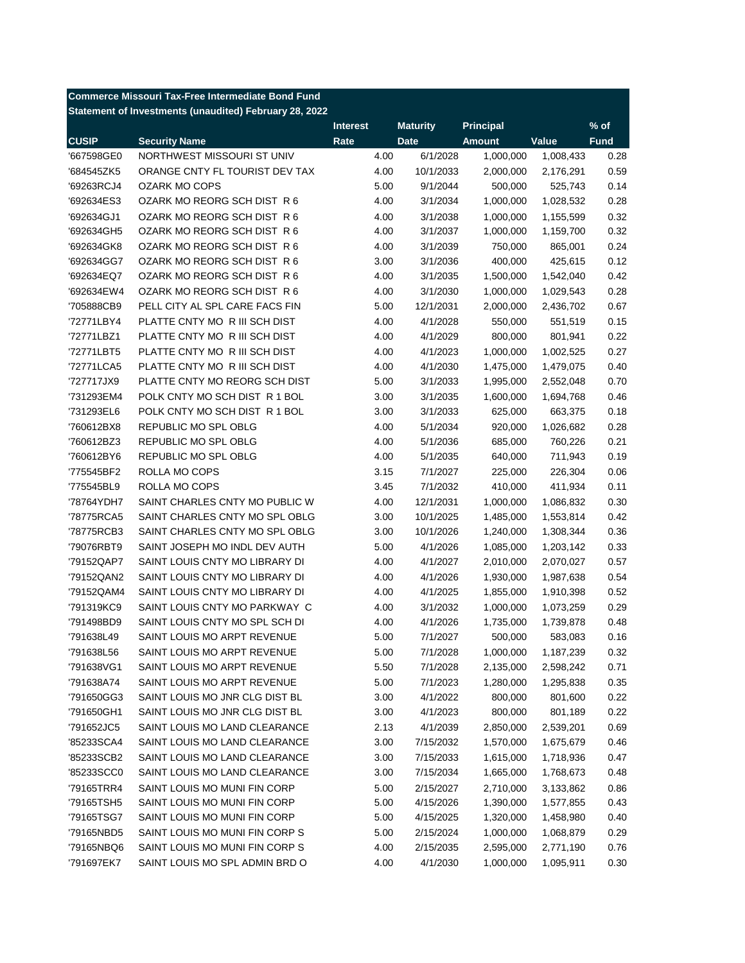|              | <b>Commerce Missouri Tax-Free Intermediate Bond Fund</b> |                 |                 |                  |           |             |
|--------------|----------------------------------------------------------|-----------------|-----------------|------------------|-----------|-------------|
|              | Statement of Investments (unaudited) February 28, 2022   |                 |                 |                  |           |             |
|              |                                                          | <b>Interest</b> | <b>Maturity</b> | <b>Principal</b> |           | $%$ of      |
| <b>CUSIP</b> | <b>Security Name</b>                                     | Rate            | <b>Date</b>     | <b>Amount</b>    | Value     | <b>Fund</b> |
| '667598GE0   | NORTHWEST MISSOURI ST UNIV                               | 4.00            | 6/1/2028        | 1,000,000        | 1,008,433 | 0.28        |
| '684545ZK5   | ORANGE CNTY FL TOURIST DEV TAX                           | 4.00            | 10/1/2033       | 2,000,000        | 2,176,291 | 0.59        |
| '69263RCJ4   | <b>OZARK MO COPS</b>                                     | 5.00            | 9/1/2044        | 500,000          | 525,743   | 0.14        |
| '692634ES3   | OZARK MO REORG SCH DIST R 6                              | 4.00            | 3/1/2034        | 1,000,000        | 1,028,532 | 0.28        |
| '692634GJ1   | OZARK MO REORG SCH DIST R 6                              | 4.00            | 3/1/2038        | 1,000,000        | 1,155,599 | 0.32        |
| '692634GH5   | OZARK MO REORG SCH DIST R 6                              | 4.00            | 3/1/2037        | 1,000,000        | 1,159,700 | 0.32        |
| '692634GK8   | OZARK MO REORG SCH DIST R 6                              | 4.00            | 3/1/2039        | 750,000          | 865,001   | 0.24        |
| '692634GG7   | OZARK MO REORG SCH DIST R 6                              | 3.00            | 3/1/2036        | 400,000          | 425,615   | 0.12        |
| '692634EQ7   | OZARK MO REORG SCH DIST R 6                              | 4.00            | 3/1/2035        | 1,500,000        | 1,542,040 | 0.42        |
| '692634EW4   | OZARK MO REORG SCH DIST R 6                              | 4.00            | 3/1/2030        | 1,000,000        | 1,029,543 | 0.28        |
| '705888CB9   | PELL CITY AL SPL CARE FACS FIN                           | 5.00            | 12/1/2031       | 2,000,000        | 2,436,702 | 0.67        |
| '72771LBY4   | PLATTE CNTY MO R III SCH DIST                            | 4.00            | 4/1/2028        | 550,000          | 551,519   | 0.15        |
| '72771LBZ1   | PLATTE CNTY MO R III SCH DIST                            | 4.00            | 4/1/2029        | 800,000          | 801,941   | 0.22        |
| '72771LBT5   | PLATTE CNTY MO R III SCH DIST                            | 4.00            | 4/1/2023        | 1,000,000        | 1,002,525 | 0.27        |
| '72771LCA5   | PLATTE CNTY MO R III SCH DIST                            | 4.00            | 4/1/2030        | 1,475,000        | 1,479,075 | 0.40        |
| '727717JX9   | PLATTE CNTY MO REORG SCH DIST                            | 5.00            | 3/1/2033        | 1,995,000        | 2,552,048 | 0.70        |
| '731293EM4   | POLK CNTY MO SCH DIST R 1 BOL                            | 3.00            | 3/1/2035        | 1,600,000        | 1,694,768 | 0.46        |
| '731293EL6   | POLK CNTY MO SCH DIST R 1 BOL                            | 3.00            | 3/1/2033        | 625,000          | 663,375   | 0.18        |
| '760612BX8   | REPUBLIC MO SPL OBLG                                     | 4.00            | 5/1/2034        | 920,000          | 1,026,682 | 0.28        |
| '760612BZ3   | REPUBLIC MO SPL OBLG                                     | 4.00            | 5/1/2036        | 685,000          | 760,226   | 0.21        |
| '760612BY6   | REPUBLIC MO SPL OBLG                                     | 4.00            | 5/1/2035        | 640,000          | 711,943   | 0.19        |
| '775545BF2   | ROLLA MO COPS                                            | 3.15            | 7/1/2027        | 225,000          | 226,304   | 0.06        |
| '775545BL9   | ROLLA MO COPS                                            | 3.45            | 7/1/2032        | 410,000          | 411,934   | 0.11        |
| '78764YDH7   | SAINT CHARLES CNTY MO PUBLIC W                           | 4.00            | 12/1/2031       | 1,000,000        | 1,086,832 | 0.30        |
| '78775RCA5   | SAINT CHARLES CNTY MO SPL OBLG                           | 3.00            | 10/1/2025       | 1,485,000        | 1,553,814 | 0.42        |
| '78775RCB3   | SAINT CHARLES CNTY MO SPL OBLG                           | 3.00            | 10/1/2026       | 1,240,000        | 1,308,344 | 0.36        |
| '79076RBT9   | SAINT JOSEPH MO INDL DEV AUTH                            | 5.00            | 4/1/2026        | 1,085,000        | 1,203,142 | 0.33        |
| '79152QAP7   | SAINT LOUIS CNTY MO LIBRARY DI                           | 4.00            | 4/1/2027        | 2,010,000        | 2,070,027 | 0.57        |
| '79152QAN2   | SAINT LOUIS CNTY MO LIBRARY DI                           | 4.00            | 4/1/2026        | 1,930,000        | 1,987,638 | 0.54        |
| '79152QAM4   | SAINT LOUIS CNTY MO LIBRARY DI                           | 4.00            | 4/1/2025        | 1,855,000        | 1,910,398 | 0.52        |
| '791319KC9   | SAINT LOUIS CNTY MO PARKWAY C                            | 4.00            | 3/1/2032        | 1,000,000        | 1,073,259 | 0.29        |
| '791498BD9   | SAINT LOUIS CNTY MO SPL SCH DI                           | 4.00            | 4/1/2026        | 1,735,000        | 1,739,878 | 0.48        |
| '791638L49   | SAINT LOUIS MO ARPT REVENUE                              | 5.00            | 7/1/2027        | 500,000          | 583,083   | 0.16        |
| '791638L56   | SAINT LOUIS MO ARPT REVENUE                              | 5.00            | 7/1/2028        | 1,000,000        | 1,187,239 | 0.32        |
| '791638VG1   | SAINT LOUIS MO ARPT REVENUE                              | 5.50            | 7/1/2028        | 2,135,000        | 2,598,242 | 0.71        |
| '791638A74   | SAINT LOUIS MO ARPT REVENUE                              | 5.00            | 7/1/2023        | 1,280,000        | 1,295,838 | 0.35        |
| '791650GG3   | SAINT LOUIS MO JNR CLG DIST BL                           | 3.00            | 4/1/2022        | 800,000          | 801,600   | 0.22        |
| '791650GH1   | SAINT LOUIS MO JNR CLG DIST BL                           | 3.00            | 4/1/2023        | 800,000          | 801,189   | 0.22        |
| '791652JC5   | SAINT LOUIS MO LAND CLEARANCE                            | 2.13            | 4/1/2039        | 2,850,000        | 2,539,201 | 0.69        |
| '85233SCA4   | SAINT LOUIS MO LAND CLEARANCE                            | 3.00            | 7/15/2032       | 1,570,000        | 1,675,679 | 0.46        |
| '85233SCB2   | SAINT LOUIS MO LAND CLEARANCE                            | 3.00            | 7/15/2033       | 1,615,000        | 1,718,936 | 0.47        |
| '85233SCC0   | SAINT LOUIS MO LAND CLEARANCE                            | 3.00            | 7/15/2034       | 1,665,000        | 1,768,673 | 0.48        |
| '79165TRR4   | SAINT LOUIS MO MUNI FIN CORP                             | 5.00            | 2/15/2027       | 2,710,000        | 3,133,862 | 0.86        |
| '79165TSH5   | SAINT LOUIS MO MUNI FIN CORP                             | 5.00            | 4/15/2026       | 1,390,000        | 1,577,855 | 0.43        |
| '79165TSG7   | SAINT LOUIS MO MUNI FIN CORP                             | 5.00            | 4/15/2025       | 1,320,000        | 1,458,980 | 0.40        |
|              | SAINT LOUIS MO MUNI FIN CORP S                           |                 |                 |                  |           |             |
| '79165NBD5   | SAINT LOUIS MO MUNI FIN CORP S                           | 5.00<br>4.00    | 2/15/2024       | 1,000,000        | 1,068,879 | 0.29        |
| '79165NBQ6   |                                                          |                 | 2/15/2035       | 2,595,000        | 2,771,190 | 0.76        |
| '791697EK7   | SAINT LOUIS MO SPL ADMIN BRD O                           | 4.00            | 4/1/2030        | 1,000,000        | 1,095,911 | 0.30        |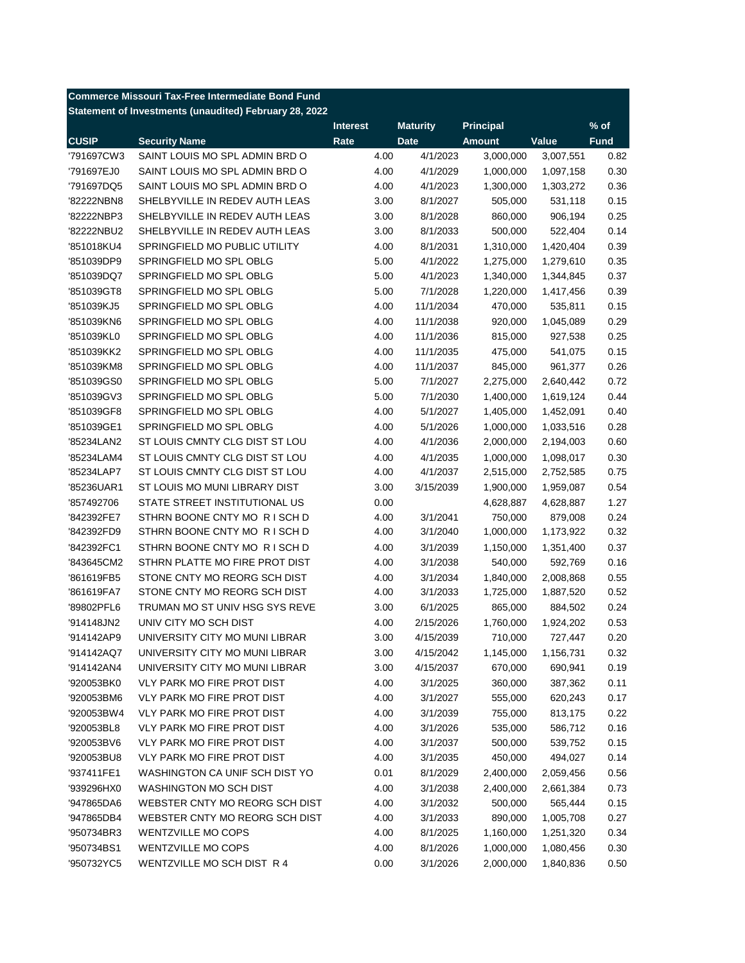| <b>Commerce Missouri Tax-Free Intermediate Bond Fund</b> |                                                        |                 |                 |                  |           |             |
|----------------------------------------------------------|--------------------------------------------------------|-----------------|-----------------|------------------|-----------|-------------|
|                                                          | Statement of Investments (unaudited) February 28, 2022 |                 |                 |                  |           |             |
|                                                          |                                                        | <b>Interest</b> | <b>Maturity</b> | <b>Principal</b> |           | $%$ of      |
| <b>CUSIP</b>                                             | <b>Security Name</b>                                   | Rate            | <b>Date</b>     | <b>Amount</b>    | Value     | <b>Fund</b> |
| '791697CW3                                               | SAINT LOUIS MO SPL ADMIN BRD O                         | 4.00            | 4/1/2023        | 3,000,000        | 3,007,551 | 0.82        |
| '791697EJ0                                               | SAINT LOUIS MO SPL ADMIN BRD O                         | 4.00            | 4/1/2029        | 1,000,000        | 1,097,158 | 0.30        |
| '791697DQ5                                               | SAINT LOUIS MO SPL ADMIN BRD O                         | 4.00            | 4/1/2023        | 1,300,000        | 1,303,272 | 0.36        |
| '82222NBN8                                               | SHELBYVILLE IN REDEV AUTH LEAS                         | 3.00            | 8/1/2027        | 505,000          | 531,118   | 0.15        |
| '82222NBP3                                               | SHELBYVILLE IN REDEV AUTH LEAS                         | 3.00            | 8/1/2028        | 860,000          | 906,194   | 0.25        |
| '82222NBU2                                               | SHELBYVILLE IN REDEV AUTH LEAS                         | 3.00            | 8/1/2033        | 500,000          | 522,404   | 0.14        |
| '851018KU4                                               | SPRINGFIELD MO PUBLIC UTILITY                          | 4.00            | 8/1/2031        | 1,310,000        | 1,420,404 | 0.39        |
| '851039DP9                                               | SPRINGFIELD MO SPL OBLG                                | 5.00            | 4/1/2022        | 1,275,000        | 1,279,610 | 0.35        |
| '851039DQ7                                               | SPRINGFIELD MO SPL OBLG                                | 5.00            | 4/1/2023        | 1,340,000        | 1,344,845 | 0.37        |
| '851039GT8                                               | SPRINGFIELD MO SPL OBLG                                | 5.00            | 7/1/2028        | 1,220,000        | 1,417,456 | 0.39        |
| '851039KJ5                                               | SPRINGFIELD MO SPL OBLG                                | 4.00            | 11/1/2034       | 470,000          | 535,811   | 0.15        |
| '851039KN6                                               | SPRINGFIELD MO SPL OBLG                                | 4.00            | 11/1/2038       | 920,000          | 1,045,089 | 0.29        |
| '851039KL0                                               | SPRINGFIELD MO SPL OBLG                                | 4.00            | 11/1/2036       | 815,000          | 927,538   | 0.25        |
| '851039KK2                                               | SPRINGFIELD MO SPL OBLG                                | 4.00            | 11/1/2035       | 475,000          | 541,075   | 0.15        |
| '851039KM8                                               | SPRINGFIELD MO SPL OBLG                                | 4.00            | 11/1/2037       | 845,000          | 961,377   | 0.26        |
| '851039GS0                                               | SPRINGFIELD MO SPL OBLG                                | 5.00            | 7/1/2027        | 2,275,000        | 2,640,442 | 0.72        |
| '851039GV3                                               | SPRINGFIELD MO SPL OBLG                                | 5.00            | 7/1/2030        | 1,400,000        | 1,619,124 | 0.44        |
| '851039GF8                                               | SPRINGFIELD MO SPL OBLG                                | 4.00            | 5/1/2027        | 1,405,000        | 1,452,091 | 0.40        |
| '851039GE1                                               | SPRINGFIELD MO SPL OBLG                                | 4.00            | 5/1/2026        | 1,000,000        | 1,033,516 | 0.28        |
| '85234LAN2                                               | ST LOUIS CMNTY CLG DIST ST LOU                         | 4.00            | 4/1/2036        | 2,000,000        | 2,194,003 | 0.60        |
| '85234LAM4                                               | ST LOUIS CMNTY CLG DIST ST LOU                         | 4.00            | 4/1/2035        | 1,000,000        | 1,098,017 | 0.30        |
| '85234LAP7                                               | ST LOUIS CMNTY CLG DIST ST LOU                         | 4.00            | 4/1/2037        | 2,515,000        | 2,752,585 | 0.75        |
| '85236UAR1                                               | ST LOUIS MO MUNI LIBRARY DIST                          | 3.00            | 3/15/2039       | 1,900,000        | 1,959,087 | 0.54        |
| '857492706                                               | STATE STREET INSTITUTIONAL US                          | 0.00            |                 | 4,628,887        | 4,628,887 | 1.27        |
| '842392FE7                                               | STHRN BOONE CNTY MO RISCH D                            | 4.00            | 3/1/2041        | 750,000          | 879,008   | 0.24        |
| '842392FD9                                               | STHRN BOONE CNTY MO RISCH D                            | 4.00            | 3/1/2040        | 1,000,000        | 1,173,922 | 0.32        |
| '842392FC1                                               | STHRN BOONE CNTY MO RISCH D                            | 4.00            | 3/1/2039        | 1,150,000        | 1,351,400 | 0.37        |
| '843645CM2                                               | STHRN PLATTE MO FIRE PROT DIST                         | 4.00            | 3/1/2038        | 540,000          | 592,769   | 0.16        |
| '861619FB5                                               | STONE CNTY MO REORG SCH DIST                           | 4.00            | 3/1/2034        | 1,840,000        | 2,008,868 | 0.55        |
| '861619FA7                                               | STONE CNTY MO REORG SCH DIST                           | 4.00            | 3/1/2033        | 1,725,000        | 1,887,520 | 0.52        |
| '89802PFL6                                               | TRUMAN MO ST UNIV HSG SYS REVE                         | 3.00            | 6/1/2025        | 865,000          | 884,502   | 0.24        |
| '914148JN2                                               | UNIV CITY MO SCH DIST                                  | 4.00            | 2/15/2026       | 1,760,000        | 1,924,202 | 0.53        |
| '914142AP9                                               | UNIVERSITY CITY MO MUNI LIBRAR                         | 3.00            | 4/15/2039       | 710,000          | 727,447   | 0.20        |
| '914142AQ7                                               | UNIVERSITY CITY MO MUNI LIBRAR                         | 3.00            | 4/15/2042       | 1,145,000        | 1,156,731 | 0.32        |
| '914142AN4                                               | UNIVERSITY CITY MO MUNI LIBRAR                         | 3.00            | 4/15/2037       | 670,000          | 690,941   | 0.19        |
| '920053BK0                                               | VLY PARK MO FIRE PROT DIST                             | 4.00            | 3/1/2025        | 360,000          | 387,362   | 0.11        |
| '920053BM6                                               | VLY PARK MO FIRE PROT DIST                             | 4.00            | 3/1/2027        | 555,000          | 620,243   | 0.17        |
| '920053BW4                                               | VLY PARK MO FIRE PROT DIST                             | 4.00            | 3/1/2039        | 755,000          | 813,175   | 0.22        |
| '920053BL8                                               | <b>VLY PARK MO FIRE PROT DIST</b>                      | 4.00            | 3/1/2026        | 535,000          | 586,712   | 0.16        |
| '920053BV6                                               | VLY PARK MO FIRE PROT DIST                             | 4.00            | 3/1/2037        | 500,000          | 539,752   | 0.15        |
| '920053BU8                                               | VLY PARK MO FIRE PROT DIST                             | 4.00            | 3/1/2035        | 450,000          | 494,027   | 0.14        |
| '937411FE1                                               | WASHINGTON CA UNIF SCH DIST YO                         | 0.01            | 8/1/2029        | 2,400,000        | 2,059,456 | 0.56        |
| '939296HX0                                               | WASHINGTON MO SCH DIST                                 | 4.00            | 3/1/2038        | 2,400,000        | 2,661,384 | 0.73        |
| '947865DA6                                               | WEBSTER CNTY MO REORG SCH DIST                         | 4.00            | 3/1/2032        | 500,000          | 565,444   | 0.15        |
| '947865DB4                                               | WEBSTER CNTY MO REORG SCH DIST                         | 4.00            | 3/1/2033        | 890,000          | 1,005,708 | 0.27        |
| '950734BR3                                               | <b>WENTZVILLE MO COPS</b>                              | 4.00            | 8/1/2025        | 1,160,000        | 1,251,320 | 0.34        |
| '950734BS1                                               | <b>WENTZVILLE MO COPS</b>                              | 4.00            | 8/1/2026        | 1,000,000        | 1,080,456 | 0.30        |
| '950732YC5                                               | WENTZVILLE MO SCH DIST R 4                             | 0.00            | 3/1/2026        | 2,000,000        | 1,840,836 | 0.50        |
|                                                          |                                                        |                 |                 |                  |           |             |